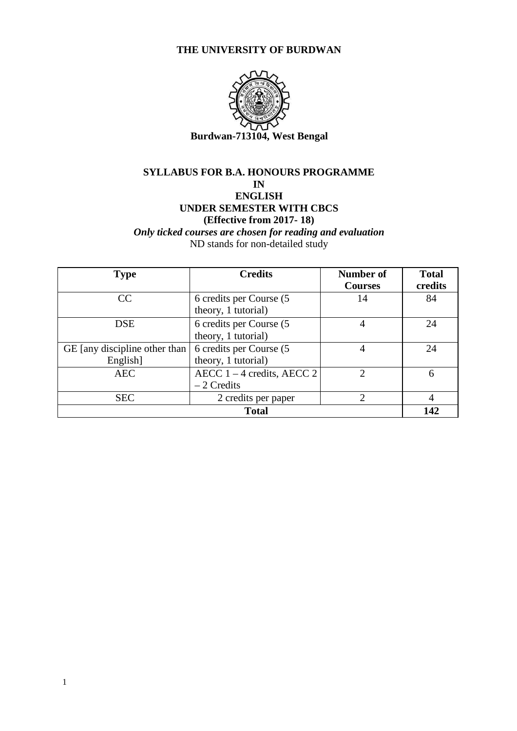#### **THE UNIVERSITY OF BURDWAN**



### **SYLLABUS FOR B.A. HONOURS PROGRAMME**

**IN**

### **ENGLISH UNDER SEMESTER WITH CBCS**

### **(Effective from 2017- 18)**

*Only ticked courses are chosen for reading and evaluation* ND stands for non-detailed study

| <b>Type</b>                               | <b>Credits</b>                                  | <b>Number of</b><br><b>Courses</b> | <b>Total</b><br>credits |
|-------------------------------------------|-------------------------------------------------|------------------------------------|-------------------------|
| CC                                        | 6 credits per Course (5)<br>theory, 1 tutorial) | 14                                 | 84                      |
| <b>DSE</b>                                | 6 credits per Course (5<br>theory, 1 tutorial)  |                                    | 24                      |
| GE [any discipline other than<br>English] | 6 credits per Course (5<br>theory, 1 tutorial)  |                                    | 24                      |
| <b>AEC</b>                                | AECC $1 - 4$ credits, AECC 2<br>$-2$ Credits    | $\bigcirc$                         | 6                       |
| <b>SEC</b>                                | 2 credits per paper                             | ◠                                  | 4                       |
| <b>Total</b>                              |                                                 |                                    | 142                     |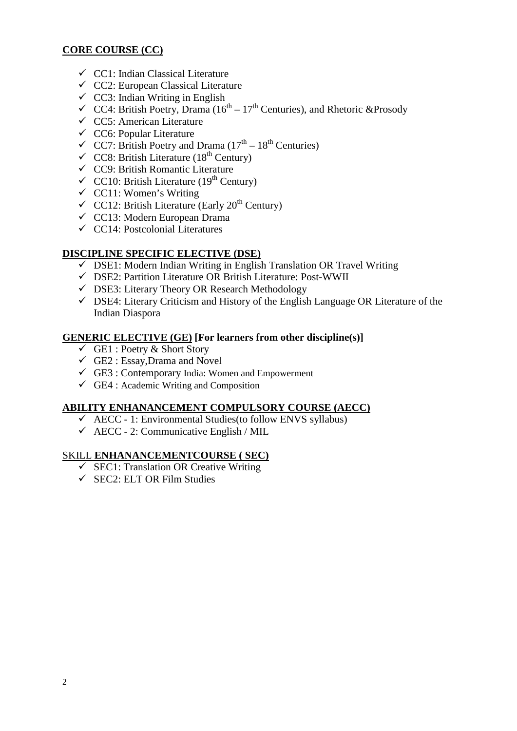#### **CORE COURSE (CC)**

- $\checkmark$  CC1: Indian Classical Literature
- $\checkmark$  CC2: European Classical Literature
- $\checkmark$  CC3: Indian Writing in English
- $\checkmark$  CC4: British Poetry, Drama (16<sup>th</sup> 17<sup>th</sup> Centuries), and Rhetoric &Prosody
- $\checkmark$  CC5: American Literature
- $\checkmark$  CC6: Popular Literature
- $\checkmark$  CC7: British Poetry and Drama (17<sup>th</sup> 18<sup>th</sup> Centuries)
- $\checkmark$  CC8: British Literature (18<sup>th</sup> Century)
- CC9: British Romantic Literature
- $\checkmark$  CC10: British Literature (19<sup>th</sup> Century)
- $\checkmark$  CC11: Women's Writing
- $\checkmark$  CC12: British Literature (Early 20<sup>th</sup> Century)
- CC13: Modern European Drama
- $\checkmark$  CC14: Postcolonial Literatures

#### **DISCIPLINE SPECIFIC ELECTIVE (DSE)**

- $\checkmark$  DSE1: Modern Indian Writing in English Translation OR Travel Writing
- $\checkmark$  DSE2: Partition Literature OR British Literature: Post-WWII
- DSE3: Literary Theory OR Research Methodology
- $\checkmark$  DSE4: Literary Criticism and History of the English Language OR Literature of the Indian Diaspora

#### **GENERIC ELECTIVE (GE) [For learners from other discipline(s)]**

- $\checkmark$  GE1 : Poetry & Short Story
- $\checkmark$  GE2 : Essay, Drama and Novel
- $\checkmark$  GE3 : Contemporary India: Women and Empowerment
- $\checkmark$  GE4 : Academic Writing and Composition

#### **ABILITY ENHANANCEMENT COMPULSORY COURSE (AECC)**

- $\checkmark$  AECC 1: Environmental Studies (to follow ENVS syllabus)
- $\checkmark$  AECC 2: Communicative English / MIL

#### SKILL **ENHANANCEMENTCOURSE ( SEC)**

- $\checkmark$  SEC1: Translation OR Creative Writing
- $\checkmark$  SEC2: ELT OR Film Studies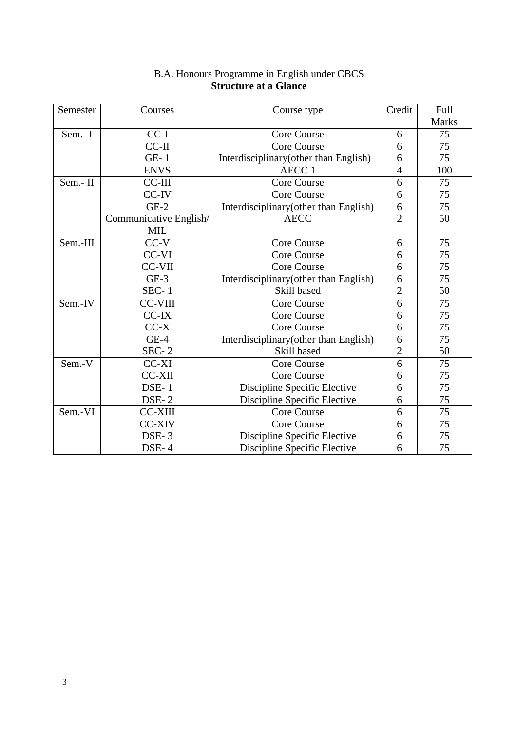| Semester | Courses                | Course type                            | Credit         | Full  |
|----------|------------------------|----------------------------------------|----------------|-------|
|          |                        |                                        |                | Marks |
| Sem.- I  | $CC-I$                 | <b>Core Course</b>                     | 6              | 75    |
|          | $CC-II$                | <b>Core Course</b>                     | 6              | 75    |
|          | $GE-1$                 | Interdisciplinary (other than English) | 6              | 75    |
|          | <b>ENVS</b>            | AECC <sub>1</sub>                      | 4              | 100   |
| Sem.-II  | CC-III                 | <b>Core Course</b>                     | 6              | 75    |
|          | CC-IV                  | Core Course                            | 6              | 75    |
|          | $GE-2$                 | Interdisciplinary (other than English) | 6              | 75    |
|          | Communicative English/ | <b>AECC</b>                            | $\overline{2}$ | 50    |
|          | MIL                    |                                        |                |       |
| Sem.-III | $CC-V$                 | <b>Core Course</b>                     | 6              | 75    |
|          | CC-VI                  | Core Course                            | 6              | 75    |
|          | <b>CC-VII</b>          | <b>Core Course</b>                     | 6              | 75    |
|          | $GE-3$                 | Interdisciplinary (other than English) | 6              | 75    |
|          | $SEC-1$                | Skill based                            | $\overline{c}$ | 50    |
| Sem.-IV  | <b>CC-VIII</b>         | Core Course                            | 6              | 75    |
|          | CC-IX                  | Core Course                            | 6              | 75    |
|          | $CC-X$                 | <b>Core Course</b>                     | 6              | 75    |
|          | $GE-4$                 | Interdisciplinary (other than English) | 6              | 75    |
|          | $SEC-2$                | Skill based                            | $\overline{2}$ | 50    |
| Sem.-V   | CC-XI                  | Core Course                            | 6              | 75    |
|          | <b>CC-XII</b>          | <b>Core Course</b>                     | 6              | 75    |
|          | DSE-1                  | Discipline Specific Elective           | 6              | 75    |
|          |                        | Discipline Specific Elective           | 6              | 75    |
| Sem.-VI  | <b>CC-XIII</b>         | Core Course                            | 6              | 75    |
|          | <b>CC-XIV</b>          | <b>Core Course</b>                     | 6              | 75    |
|          | DSE-3                  | Discipline Specific Elective           | 6              | 75    |
|          | DSE-4                  | Discipline Specific Elective           | 6              | 75    |

#### B.A. Honours Programme in English under CBCS **Structure at a Glance**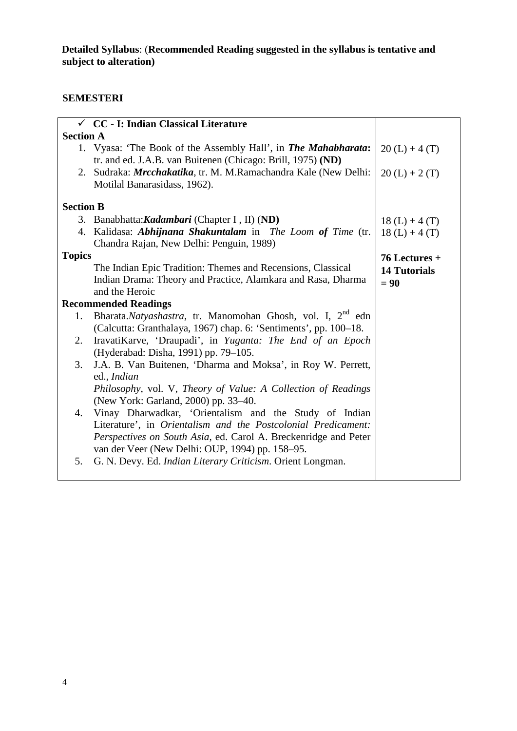## **SEMESTERI**

|                  | $\checkmark$ CC - I: Indian Classical Literature                        |                     |
|------------------|-------------------------------------------------------------------------|---------------------|
| <b>Section A</b> |                                                                         |                     |
|                  | 1. Vyasa: 'The Book of the Assembly Hall', in The Mahabharata:          | $20(L) + 4(T)$      |
|                  | tr. and ed. J.A.B. van Buitenen (Chicago: Brill, 1975) (ND)             |                     |
|                  | 2. Sudraka: <i>Mrcchakatika</i> , tr. M. M.Ramachandra Kale (New Delhi: | $20(L) + 2(T)$      |
|                  | Motilal Banarasidass, 1962).                                            |                     |
| <b>Section B</b> |                                                                         |                     |
|                  | 3. Banabhatta: Kadambari (Chapter I, II) (ND)                           | $18(L) + 4(T)$      |
|                  | 4. Kalidasa: Abhijnana Shakuntalam in The Loom of Time (tr.             | $18(L) + 4(T)$      |
|                  | Chandra Rajan, New Delhi: Penguin, 1989)                                |                     |
| <b>Topics</b>    |                                                                         | $76$ Lectures +     |
|                  | The Indian Epic Tradition: Themes and Recensions, Classical             | <b>14 Tutorials</b> |
|                  | Indian Drama: Theory and Practice, Alamkara and Rasa, Dharma            | $= 90$              |
|                  | and the Heroic                                                          |                     |
|                  | <b>Recommended Readings</b>                                             |                     |
| 1.               | Bharata.Natyashastra, tr. Manomohan Ghosh, vol. I, 2 <sup>nd</sup> edn  |                     |
|                  | (Calcutta: Granthalaya, 1967) chap. 6: 'Sentiments', pp. 100-18.        |                     |
| 2.               | IravatiKarve, 'Draupadi', in Yuganta: The End of an Epoch               |                     |
|                  | (Hyderabad: Disha, 1991) pp. 79–105.                                    |                     |
| 3.               | J.A. B. Van Buitenen, 'Dharma and Moksa', in Roy W. Perrett,            |                     |
|                  | ed., Indian                                                             |                     |
|                  | Philosophy, vol. V, Theory of Value: A Collection of Readings           |                     |
|                  | (New York: Garland, 2000) pp. 33–40.                                    |                     |
| 4.               | Vinay Dharwadkar, 'Orientalism and the Study of Indian                  |                     |
|                  | Literature', in Orientalism and the Postcolonial Predicament:           |                     |
|                  | Perspectives on South Asia, ed. Carol A. Breckenridge and Peter         |                     |
|                  | van der Veer (New Delhi: OUP, 1994) pp. 158–95.                         |                     |
| 5.               | G. N. Devy. Ed. Indian Literary Criticism. Orient Longman.              |                     |
|                  |                                                                         |                     |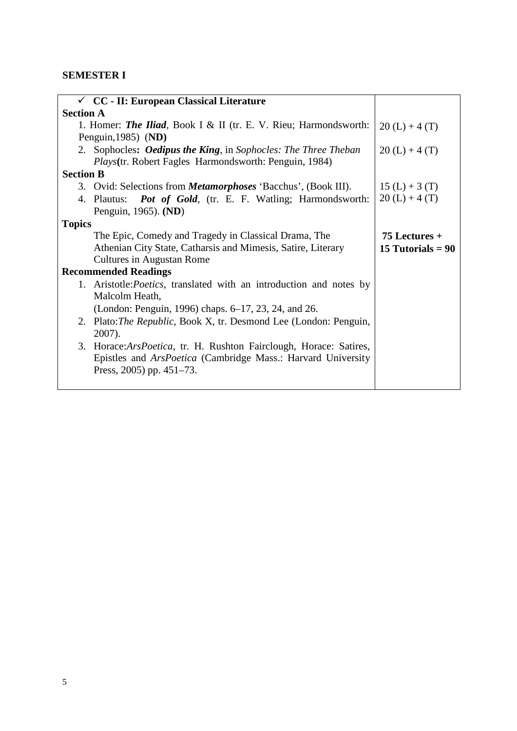# **SEMESTER I**

| $\checkmark$ CC - II: European Classical Literature                                                                                     |                     |
|-----------------------------------------------------------------------------------------------------------------------------------------|---------------------|
| <b>Section A</b>                                                                                                                        |                     |
| 1. Homer: <b>The Iliad</b> , Book I & II (tr. E. V. Rieu; Harmondsworth:                                                                | $20(L) + 4(T)$      |
| Penguin, $1985$ ) (ND)                                                                                                                  |                     |
| 2. Sophocles: <b>Oedipus the King</b> , in Sophocles: The Three Theban<br><i>Plays</i> (tr. Robert Fagles Harmondsworth: Penguin, 1984) | $20(L) + 4(T)$      |
| <b>Section B</b>                                                                                                                        |                     |
| 3. Ovid: Selections from <i>Metamorphoses</i> 'Bacchus', (Book III).                                                                    | $15(L) + 3(T)$      |
| 4. Plautus: <b>Pot of Gold</b> , (tr. E. F. Watling; Harmondsworth:                                                                     | $20(L) + 4(T)$      |
| Penguin, 1965). (ND)                                                                                                                    |                     |
| <b>Topics</b>                                                                                                                           |                     |
| The Epic, Comedy and Tragedy in Classical Drama, The                                                                                    | $75$ Lectures $+$   |
| Athenian City State, Catharsis and Mimesis, Satire, Literary                                                                            | 15 Tutorials $= 90$ |
| Cultures in Augustan Rome                                                                                                               |                     |
| <b>Recommended Readings</b>                                                                                                             |                     |
| 1. Aristotle: <i>Poetics</i> , translated with an introduction and notes by                                                             |                     |
| Malcolm Heath,                                                                                                                          |                     |
| (London: Penguin, 1996) chaps. 6–17, 23, 24, and 26.                                                                                    |                     |
| 2. Plato: The Republic, Book X, tr. Desmond Lee (London: Penguin,                                                                       |                     |
| 2007).                                                                                                                                  |                     |
| 3. Horace: Ars Poetica, tr. H. Rushton Fairclough, Horace: Satires,                                                                     |                     |
| Epistles and <i>ArsPoetica</i> (Cambridge Mass.: Harvard University                                                                     |                     |
| Press, $2005$ ) pp. $451-73$ .                                                                                                          |                     |
|                                                                                                                                         |                     |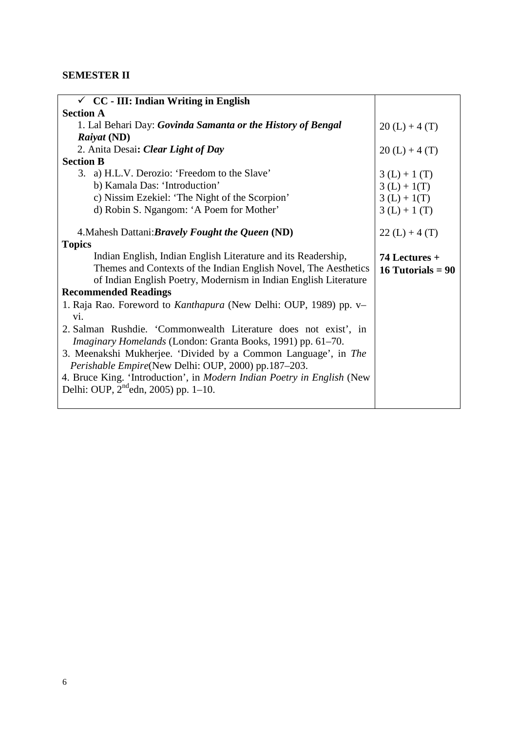# **SEMESTER II**

| $\checkmark$ CC - III: Indian Writing in English                              |                     |
|-------------------------------------------------------------------------------|---------------------|
| <b>Section A</b>                                                              |                     |
| 1. Lal Behari Day: Govinda Samanta or the History of Bengal                   | $20(L) + 4(T)$      |
| Raiyat (ND)                                                                   |                     |
| 2. Anita Desai: Clear Light of Day                                            | $20(L) + 4(T)$      |
| <b>Section B</b>                                                              |                     |
| 3. a) H.L.V. Derozio: 'Freedom to the Slave'                                  | $3(L) + 1(T)$       |
| b) Kamala Das: 'Introduction'                                                 | $3(L) + 1(T)$       |
| c) Nissim Ezekiel: 'The Night of the Scorpion'                                | $3(L) + 1(T)$       |
| d) Robin S. Ngangom: 'A Poem for Mother'                                      | $3(L) + 1(T)$       |
|                                                                               |                     |
| 4. Mahesh Dattani: Bravely Fought the Queen (ND)                              | $22(L) + 4(T)$      |
| <b>Topics</b>                                                                 |                     |
| Indian English, Indian English Literature and its Readership,                 | 74 Lectures +       |
| Themes and Contexts of the Indian English Novel, The Aesthetics               | 16 Tutorials = $90$ |
| of Indian English Poetry, Modernism in Indian English Literature              |                     |
| <b>Recommended Readings</b>                                                   |                     |
| 1. Raja Rao. Foreword to Kanthapura (New Delhi: OUP, 1989) pp. v-             |                     |
| vi.                                                                           |                     |
| 2. Salman Rushdie. 'Commonwealth Literature does not exist', in               |                     |
| Imaginary Homelands (London: Granta Books, 1991) pp. 61–70.                   |                     |
| 3. Meenakshi Mukherjee. 'Divided by a Common Language', in The                |                     |
| Perishable Empire(New Delhi: OUP, 2000) pp.187-203.                           |                     |
| 4. Bruce King. 'Introduction', in <i>Modern Indian Poetry in English</i> (New |                     |
| Delhi: OUP, $2^{nd}$ edn, 2005) pp. 1–10.                                     |                     |
|                                                                               |                     |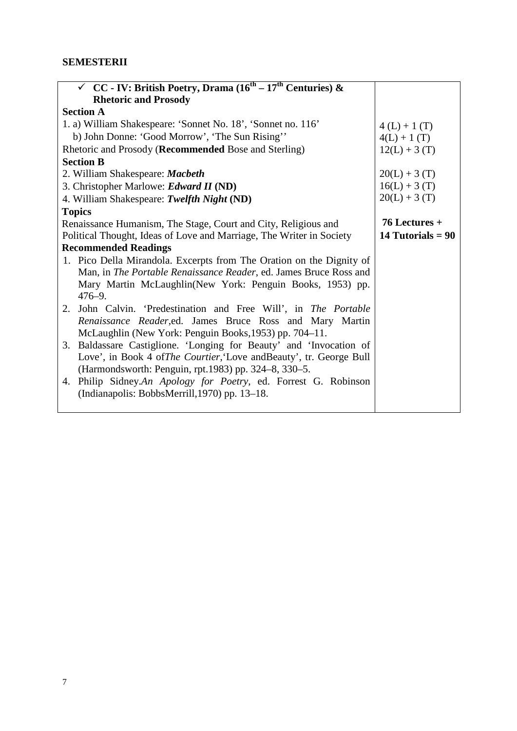### **SEMESTERII**

| $\checkmark$ CC - IV: British Poetry, Drama (16 <sup>th</sup> – 17 <sup>th</sup> Centuries) & |                     |
|-----------------------------------------------------------------------------------------------|---------------------|
| <b>Rhetoric and Prosody</b>                                                                   |                     |
| <b>Section A</b>                                                                              |                     |
| 1. a) William Shakespeare: 'Sonnet No. 18', 'Sonnet no. 116'                                  | $4(L) + 1(T)$       |
| b) John Donne: 'Good Morrow', 'The Sun Rising''                                               | $4(L) + 1(T)$       |
| Rhetoric and Prosody (Recommended Bose and Sterling)                                          | $12(L) + 3(T)$      |
| <b>Section B</b>                                                                              |                     |
| 2. William Shakespeare: Macbeth                                                               | $20(L) + 3(T)$      |
| 3. Christopher Marlowe: Edward II (ND)                                                        | $16(L) + 3(T)$      |
| 4. William Shakespeare: Twelfth Night (ND)                                                    | $20(L) + 3(T)$      |
| <b>Topics</b>                                                                                 |                     |
| Renaissance Humanism, The Stage, Court and City, Religious and                                | $76$ Lectures +     |
| Political Thought, Ideas of Love and Marriage, The Writer in Society                          | 14 Tutorials = $90$ |
| <b>Recommended Readings</b>                                                                   |                     |
| 1. Pico Della Mirandola. Excerpts from The Oration on the Dignity of                          |                     |
| Man, in The Portable Renaissance Reader, ed. James Bruce Ross and                             |                     |
| Mary Martin McLaughlin (New York: Penguin Books, 1953) pp.                                    |                     |
| $476 - 9.$                                                                                    |                     |
| 2. John Calvin. 'Predestination and Free Will', in The Portable                               |                     |
| Renaissance Reader, ed. James Bruce Ross and Mary Martin                                      |                     |
| McLaughlin (New York: Penguin Books, 1953) pp. 704–11.                                        |                     |
| 3. Baldassare Castiglione. 'Longing for Beauty' and 'Invocation of                            |                     |
| Love', in Book 4 of <i>The Courtier</i> , Love and Beauty', tr. George Bull                   |                     |
| (Harmondsworth: Penguin, rpt.1983) pp. 324–8, 330–5.                                          |                     |
| 4. Philip Sidney.An Apology for Poetry, ed. Forrest G. Robinson                               |                     |
| (Indianapolis: BobbsMerrill, 1970) pp. 13–18.                                                 |                     |
|                                                                                               |                     |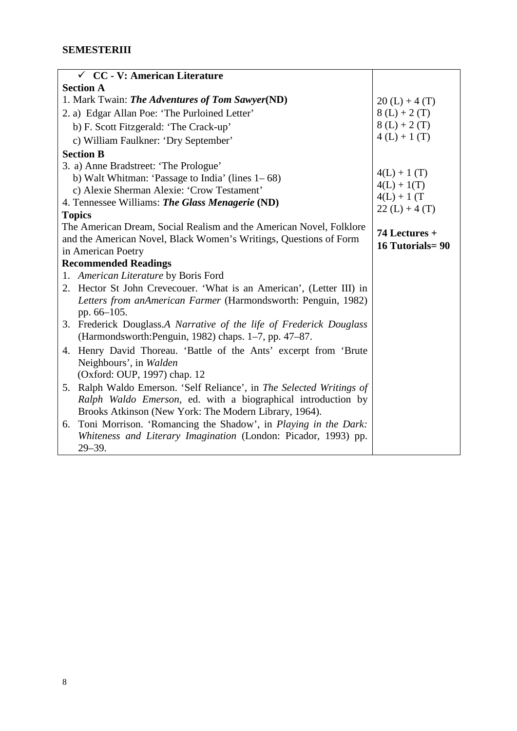| $\checkmark$ CC - V: American Literature                             |                        |
|----------------------------------------------------------------------|------------------------|
| <b>Section A</b>                                                     |                        |
| 1. Mark Twain: The Adventures of Tom Sawyer(ND)                      | $20(L) + 4(T)$         |
| 2. a) Edgar Allan Poe: 'The Purloined Letter'                        | $8(L) + 2(T)$          |
| b) F. Scott Fitzgerald: 'The Crack-up'                               | $8(L) + 2(T)$          |
| c) William Faulkner: 'Dry September'                                 | $4(L) + 1(T)$          |
| <b>Section B</b>                                                     |                        |
| 3. a) Anne Bradstreet: 'The Prologue'                                |                        |
| b) Walt Whitman: 'Passage to India' (lines $1-68$ )                  | $4(L) + 1(T)$          |
| c) Alexie Sherman Alexie: 'Crow Testament'                           | $4(L) + 1(T)$          |
| 4. Tennessee Williams: The Glass Menagerie (ND)                      | $4(L) + 1(T)$          |
| <b>Topics</b>                                                        | $22(L) + 4(T)$         |
| The American Dream, Social Realism and the American Novel, Folklore  | 74 Lectures +          |
| and the American Novel, Black Women's Writings, Questions of Form    | <b>16 Tutorials=90</b> |
| in American Poetry                                                   |                        |
| <b>Recommended Readings</b>                                          |                        |
| 1. American Literature by Boris Ford                                 |                        |
| 2. Hector St John Crevecouer. 'What is an American', (Letter III) in |                        |
| Letters from anAmerican Farmer (Harmondsworth: Penguin, 1982)        |                        |
| pp. 66–105.                                                          |                        |
| 3. Frederick Douglass.A Narrative of the life of Frederick Douglass  |                        |
| (Harmondsworth: Penguin, 1982) chaps. 1–7, pp. 47–87.                |                        |
| Henry David Thoreau. 'Battle of the Ants' excerpt from 'Brute<br>4.  |                        |
| Neighbours', in Walden                                               |                        |
| (Oxford: OUP, 1997) chap. 12                                         |                        |
| 5. Ralph Waldo Emerson. 'Self Reliance', in The Selected Writings of |                        |
| Ralph Waldo Emerson, ed. with a biographical introduction by         |                        |
| Brooks Atkinson (New York: The Modern Library, 1964).                |                        |
| Toni Morrison. 'Romancing the Shadow', in Playing in the Dark:<br>6. |                        |
| Whiteness and Literary Imagination (London: Picador, 1993) pp.       |                        |
| $29 - 39.$                                                           |                        |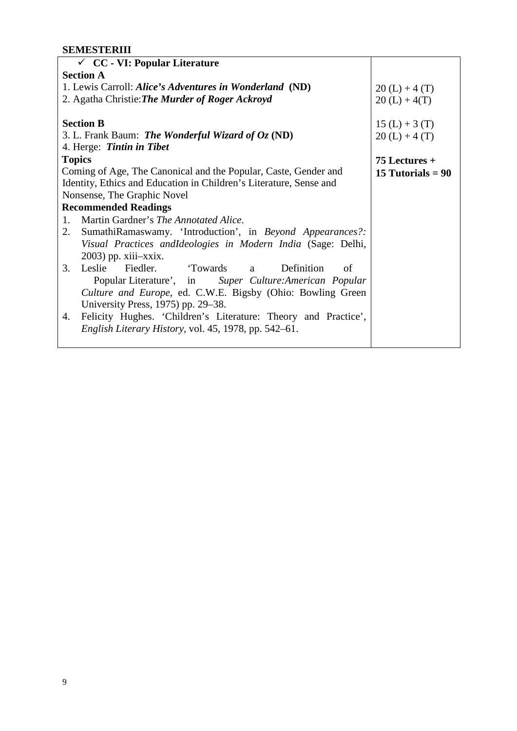## **SEMESTERIII**

| $\checkmark$ CC - VI: Popular Literature                             |                     |
|----------------------------------------------------------------------|---------------------|
| <b>Section A</b>                                                     |                     |
| 1. Lewis Carroll: Alice's Adventures in Wonderland (ND)              | $20(L) + 4(T)$      |
| 2. Agatha Christie: <b>The Murder of Roger Ackroyd</b>               | $20(L) + 4(T)$      |
|                                                                      |                     |
| <b>Section B</b>                                                     | $15(L) + 3(T)$      |
| 3. L. Frank Baum: The Wonderful Wizard of $Oz$ (ND)                  | $20(L) + 4(T)$      |
| 4. Herge: Tintin in Tibet                                            |                     |
| <b>Topics</b>                                                        | $75$ Lectures +     |
| Coming of Age, The Canonical and the Popular, Caste, Gender and      | 15 Tutorials $= 90$ |
| Identity, Ethics and Education in Children's Literature, Sense and   |                     |
| Nonsense, The Graphic Novel                                          |                     |
| <b>Recommended Readings</b>                                          |                     |
| Martin Gardner's The Annotated Alice.<br>1.                          |                     |
| SumathiRamaswamy. 'Introduction', in Beyond Appearances?:<br>2.      |                     |
| Visual Practices andIdeologies in Modern India (Sage: Delhi,         |                     |
| 2003) pp. xiii-xxix.                                                 |                     |
| 3.<br>Leslie<br>Fiedler.<br>Towards a<br>Definition<br>of            |                     |
| Popular Literature', in Super Culture: American Popular              |                     |
| Culture and Europe, ed. C.W.E. Bigsby (Ohio: Bowling Green           |                     |
| University Press, 1975) pp. 29–38.                                   |                     |
| Felicity Hughes. 'Children's Literature: Theory and Practice',<br>4. |                     |
| <i>English Literary History, vol.</i> 45, 1978, pp. 542–61.          |                     |
|                                                                      |                     |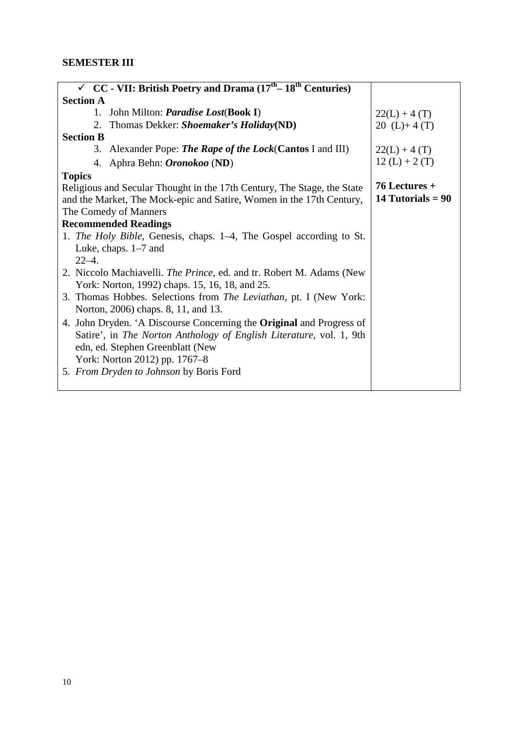| $\checkmark$ CC - VII: British Poetry and Drama (17 <sup>th</sup> – 18 <sup>th</sup> Centuries) |                     |
|-------------------------------------------------------------------------------------------------|---------------------|
| <b>Section A</b>                                                                                |                     |
| John Milton: <i>Paradise Lost</i> (Book I)<br>1.                                                | $22(L) + 4(T)$      |
| 2. Thomas Dekker: Shoemaker's Holiday(ND)                                                       | 20 $(L)+4(T)$       |
| <b>Section B</b>                                                                                |                     |
| 3. Alexander Pope: The Rape of the Lock(Cantos I and III)                                       | $22(L) + 4(T)$      |
| 4. Aphra Behn: <i>Oronokoo</i> (ND)                                                             | $12(L) + 2(T)$      |
| <b>Topics</b>                                                                                   |                     |
| Religious and Secular Thought in the 17th Century, The Stage, the State                         | $76$ Lectures +     |
| and the Market, The Mock-epic and Satire, Women in the 17th Century,                            | 14 Tutorials = $90$ |
| The Comedy of Manners                                                                           |                     |
| <b>Recommended Readings</b>                                                                     |                     |
| 1. <i>The Holy Bible</i> , Genesis, chaps. 1–4, The Gospel according to St.                     |                     |
| Luke, chaps. $1-7$ and                                                                          |                     |
| $22 - 4$ .                                                                                      |                     |
| 2. Niccolo Machiavelli. The Prince, ed. and tr. Robert M. Adams (New                            |                     |
| York: Norton, 1992) chaps. 15, 16, 18, and 25.                                                  |                     |
| 3. Thomas Hobbes. Selections from <i>The Leviathan</i> , pt. I (New York:                       |                     |
| Norton, 2006) chaps. 8, 11, and 13.                                                             |                     |
| 4. John Dryden. 'A Discourse Concerning the <b>Original</b> and Progress of                     |                     |
| Satire', in The Norton Anthology of English Literature, vol. 1, 9th                             |                     |
| edn, ed. Stephen Greenblatt (New                                                                |                     |
| York: Norton 2012) pp. 1767–8                                                                   |                     |
| 5. From Dryden to Johnson by Boris Ford                                                         |                     |
|                                                                                                 |                     |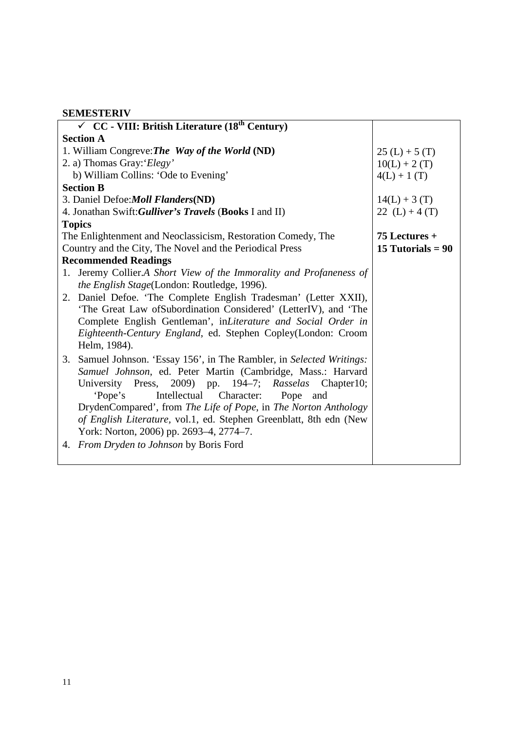### **SEMESTERIV**

|                  | $\checkmark$ CC - VIII: British Literature (18 <sup>th</sup> Century) |                     |
|------------------|-----------------------------------------------------------------------|---------------------|
| <b>Section A</b> |                                                                       |                     |
|                  | 1. William Congreve: The Way of the World (ND)                        | $25(L) + 5(T)$      |
|                  | 2. a) Thomas Gray: 'Elegy'                                            | $10(L) + 2(T)$      |
|                  | b) William Collins: 'Ode to Evening'                                  | $4(L) + 1(T)$       |
|                  | <b>Section B</b>                                                      |                     |
|                  | 3. Daniel Defoe: Moll Flanders (ND)                                   | $14(L) + 3(T)$      |
|                  | 4. Jonathan Swift: Gulliver's Travels (Books I and II)                | 22 $(L) + 4(T)$     |
|                  | <b>Topics</b>                                                         |                     |
|                  | The Enlightenment and Neoclassicism, Restoration Comedy, The          | $75$ Lectures +     |
|                  | Country and the City, The Novel and the Periodical Press              | 15 Tutorials = $90$ |
|                  | <b>Recommended Readings</b>                                           |                     |
|                  | 1. Jeremy Collier.A Short View of the Immorality and Profaneness of   |                     |
|                  | the English Stage(London: Routledge, 1996).                           |                     |
|                  | 2. Daniel Defoe. 'The Complete English Tradesman' (Letter XXII),      |                     |
|                  | 'The Great Law of Subordination Considered' (LetterIV), and 'The      |                     |
|                  | Complete English Gentleman', inLiterature and Social Order in         |                     |
|                  | Eighteenth-Century England, ed. Stephen Copley(London: Croom          |                     |
|                  | Helm, 1984).                                                          |                     |
|                  | 3. Samuel Johnson. 'Essay 156', in The Rambler, in Selected Writings: |                     |
|                  | Samuel Johnson, ed. Peter Martin (Cambridge, Mass.: Harvard           |                     |
|                  | University Press, 2009) pp. 194-7; Rasselas Chapter10;                |                     |
|                  | Intellectual Character:<br>'Pope's<br>Pope<br>and                     |                     |
|                  | DrydenCompared', from The Life of Pope, in The Norton Anthology       |                     |
|                  | of English Literature, vol.1, ed. Stephen Greenblatt, 8th edn (New    |                     |
|                  | York: Norton, 2006) pp. 2693-4, 2774-7.                               |                     |
|                  | 4. From Dryden to Johnson by Boris Ford                               |                     |
|                  |                                                                       |                     |
|                  |                                                                       |                     |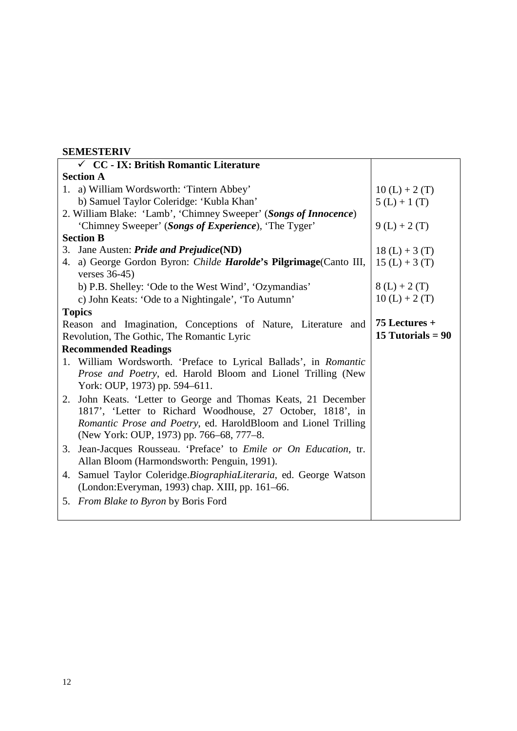### **SEMESTERIV**

| $\checkmark$ CC - IX: British Romantic Literature                             |                     |
|-------------------------------------------------------------------------------|---------------------|
| <b>Section A</b>                                                              |                     |
| 1. a) William Wordsworth: 'Tintern Abbey'                                     | $10(L) + 2(T)$      |
| b) Samuel Taylor Coleridge: 'Kubla Khan'                                      | $5(L) + 1(T)$       |
| 2. William Blake: 'Lamb', 'Chimney Sweeper' (Songs of Innocence)              |                     |
| 'Chimney Sweeper' (Songs of Experience), 'The Tyger'                          | $9(L) + 2(T)$       |
| <b>Section B</b>                                                              |                     |
| 3. Jane Austen: <i>Pride and Prejudice</i> (ND)                               | $18(L) + 3(T)$      |
| 4. a) George Gordon Byron: Childe Harolde's Pilgrimage(Canto III,             | $15(L) + 3(T)$      |
| verses $36-45$ )                                                              |                     |
| b) P.B. Shelley: 'Ode to the West Wind', 'Ozymandias'                         | $8(L) + 2(T)$       |
| c) John Keats: 'Ode to a Nightingale', 'To Autumn'                            | $10(L) + 2(T)$      |
| <b>Topics</b>                                                                 |                     |
| Reason and Imagination, Conceptions of Nature, Literature and                 | $75$ Lectures +     |
| Revolution, The Gothic, The Romantic Lyric                                    | 15 Tutorials = $90$ |
| <b>Recommended Readings</b>                                                   |                     |
| 1. William Wordsworth. 'Preface to Lyrical Ballads', in <i>Romantic</i>       |                     |
| Prose and Poetry, ed. Harold Bloom and Lionel Trilling (New                   |                     |
| York: OUP, 1973) pp. 594-611.                                                 |                     |
| John Keats. 'Letter to George and Thomas Keats, 21 December<br>2.             |                     |
| 1817', 'Letter to Richard Woodhouse, 27 October, 1818', in                    |                     |
| Romantic Prose and Poetry, ed. HaroldBloom and Lionel Trilling                |                     |
| (New York: OUP, 1973) pp. 766–68, 777–8.                                      |                     |
| Jean-Jacques Rousseau. 'Preface' to <i>Emile or On Education</i> , tr.<br>3.  |                     |
| Allan Bloom (Harmondsworth: Penguin, 1991).                                   |                     |
| Samuel Taylor Coleridge. <i>BiographiaLiteraria</i> , ed. George Watson<br>4. |                     |
| (London:Everyman, 1993) chap. XIII, pp. 161–66.                               |                     |
| From Blake to Byron by Boris Ford<br>5.                                       |                     |
|                                                                               |                     |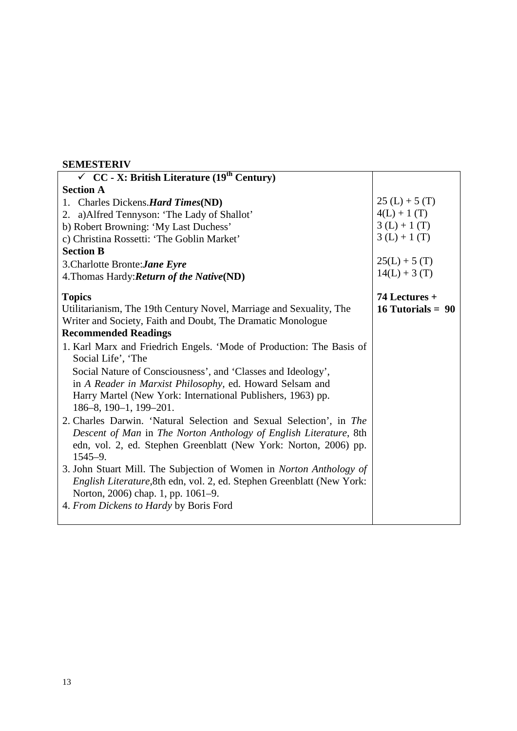#### **SEMESTERIV**

| $\checkmark$ CC - X: British Literature (19 <sup>th</sup> Century)     |                     |
|------------------------------------------------------------------------|---------------------|
| <b>Section A</b>                                                       |                     |
| 1. Charles Dickens. Hard Times (ND)                                    | $25(L) + 5(T)$      |
| 2. a) Alfred Tennyson: 'The Lady of Shallot'                           | $4(L) + 1(T)$       |
| b) Robert Browning: 'My Last Duchess'                                  | $3(L) + 1(T)$       |
| c) Christina Rossetti: 'The Goblin Market'                             | $3(L) + 1(T)$       |
| <b>Section B</b>                                                       |                     |
| 3. Charlotte Bronte: Jane Eyre                                         | $25(L) + 5(T)$      |
| 4. Thomas Hardy: Return of the Native (ND)                             | $14(L) + 3(T)$      |
| <b>Topics</b>                                                          | 74 Lectures +       |
| Utilitarianism, The 19th Century Novel, Marriage and Sexuality, The    | 16 Tutorials = $90$ |
| Writer and Society, Faith and Doubt, The Dramatic Monologue            |                     |
| <b>Recommended Readings</b>                                            |                     |
| 1. Karl Marx and Friedrich Engels. 'Mode of Production: The Basis of   |                     |
| Social Life', 'The                                                     |                     |
| Social Nature of Consciousness', and 'Classes and Ideology',           |                     |
| in A Reader in Marxist Philosophy, ed. Howard Selsam and               |                     |
| Harry Martel (New York: International Publishers, 1963) pp.            |                     |
| $186-8$ , $190-1$ , $199-201$ .                                        |                     |
| 2. Charles Darwin. 'Natural Selection and Sexual Selection', in The    |                     |
| Descent of Man in The Norton Anthology of English Literature, 8th      |                     |
| edn, vol. 2, ed. Stephen Greenblatt (New York: Norton, 2006) pp.       |                     |
| $1545 - 9.$                                                            |                     |
| 3. John Stuart Mill. The Subjection of Women in Norton Anthology of    |                     |
| English Literature, 8th edn, vol. 2, ed. Stephen Greenblatt (New York: |                     |
| Norton, 2006) chap. 1, pp. 1061–9.                                     |                     |
| 4. From Dickens to Hardy by Boris Ford                                 |                     |
|                                                                        |                     |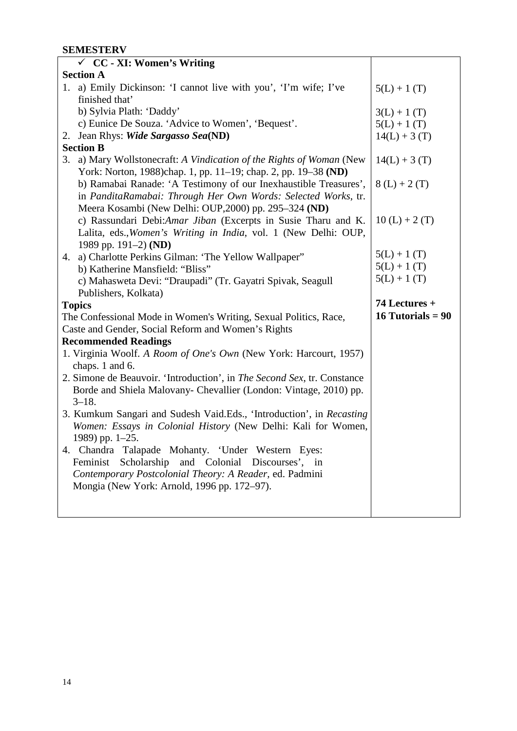### **SEMESTERV**

|    | $\checkmark$ CC - XI: Women's Writing                                   |                     |
|----|-------------------------------------------------------------------------|---------------------|
|    | <b>Section A</b>                                                        |                     |
|    | 1. a) Emily Dickinson: 'I cannot live with you', 'I'm wife; I've        | $5(L) + 1(T)$       |
|    | finished that'                                                          |                     |
|    | b) Sylvia Plath: 'Daddy'                                                | $3(L) + 1(T)$       |
|    | c) Eunice De Souza. 'Advice to Women', 'Bequest'.                       | $5(L) + 1(T)$       |
|    | 2. Jean Rhys: Wide Sargasso Sea(ND)                                     | $14(L) + 3(T)$      |
|    | <b>Section B</b>                                                        |                     |
| 3. | a) Mary Wollstonecraft: A Vindication of the Rights of Woman (New       | $14(L) + 3(T)$      |
|    | York: Norton, 1988)chap. 1, pp. 11–19; chap. 2, pp. 19–38 (ND)          |                     |
|    | b) Ramabai Ranade: 'A Testimony of our Inexhaustible Treasures',        | $8(L) + 2(T)$       |
|    | in PanditaRamabai: Through Her Own Words: Selected Works, tr.           |                     |
|    | Meera Kosambi (New Delhi: OUP, 2000) pp. 295–324 (ND)                   |                     |
|    | c) Rassundari Debi:Amar Jiban (Excerpts in Susie Tharu and K.           | $10(L) + 2(T)$      |
|    | Lalita, eds., Women's Writing in India, vol. 1 (New Delhi: OUP,         |                     |
|    | 1989 pp. 191-2) (ND)                                                    |                     |
|    | 4. a) Charlotte Perkins Gilman: 'The Yellow Wallpaper"                  | $5(L) + 1(T)$       |
|    | b) Katherine Mansfield: "Bliss"                                         | $5(L) + 1(T)$       |
|    | c) Mahasweta Devi: "Draupadi" (Tr. Gayatri Spivak, Seagull              | $5(L) + 1(T)$       |
|    |                                                                         |                     |
|    | Publishers, Kolkata)                                                    |                     |
|    | <b>Topics</b>                                                           | 74 Lectures +       |
|    | The Confessional Mode in Women's Writing, Sexual Politics, Race,        | 16 Tutorials = $90$ |
|    | Caste and Gender, Social Reform and Women's Rights                      |                     |
|    | <b>Recommended Readings</b>                                             |                     |
|    | 1. Virginia Woolf. A Room of One's Own (New York: Harcourt, 1957)       |                     |
|    | chaps. 1 and 6.                                                         |                     |
|    | 2. Simone de Beauvoir. 'Introduction', in The Second Sex, tr. Constance |                     |
|    | Borde and Shiela Malovany- Chevallier (London: Vintage, 2010) pp.       |                     |
|    | $3 - 18.$                                                               |                     |
|    | 3. Kumkum Sangari and Sudesh Vaid.Eds., 'Introduction', in Recasting    |                     |
|    | Women: Essays in Colonial History (New Delhi: Kali for Women,           |                     |
|    | 1989) pp. $1-25$ .                                                      |                     |
|    | 4. Chandra Talapade Mohanty. 'Under Western Eyes:                       |                     |
|    | Feminist<br>Scholarship<br>and Colonial Discourses', in                 |                     |
|    | Contemporary Postcolonial Theory: A Reader, ed. Padmini                 |                     |
|    | Mongia (New York: Arnold, 1996 pp. 172–97).                             |                     |
|    |                                                                         |                     |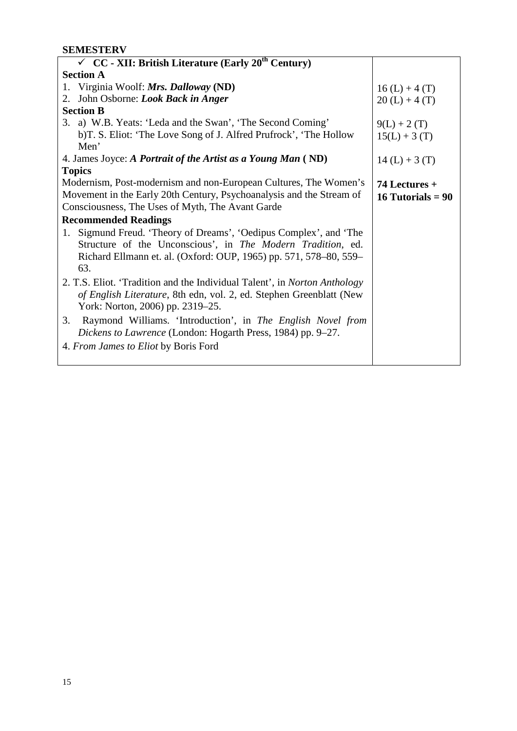## **SEMESTERV**

| $\checkmark$ CC - XII: British Literature (Early 20 <sup>th</sup> Century)       |                     |
|----------------------------------------------------------------------------------|---------------------|
| <b>Section A</b>                                                                 |                     |
| 1. Virginia Woolf: Mrs. Dalloway (ND)                                            | $16(L) + 4(T)$      |
| John Osborne: Look Back in Anger<br>2.                                           | $20(L) + 4(T)$      |
| <b>Section B</b>                                                                 |                     |
| 3. a) W.B. Yeats: 'Leda and the Swan', 'The Second Coming'                       | $9(L) + 2(T)$       |
| b) T. S. Eliot: 'The Love Song of J. Alfred Prufrock', 'The Hollow               | $15(L) + 3(T)$      |
| Men'                                                                             |                     |
| 4. James Joyce: A Portrait of the Artist as a Young Man (ND)                     | $14(L) + 3(T)$      |
| <b>Topics</b>                                                                    |                     |
| Modernism, Post-modernism and non-European Cultures, The Women's                 | 74 Lectures +       |
| Movement in the Early 20th Century, Psychoanalysis and the Stream of             | 16 Tutorials = $90$ |
| Consciousness, The Uses of Myth, The Avant Garde                                 |                     |
| <b>Recommended Readings</b>                                                      |                     |
| 1. Sigmund Freud. 'Theory of Dreams', 'Oedipus Complex', and 'The                |                     |
| Structure of the Unconscious', in The Modern Tradition, ed.                      |                     |
| Richard Ellmann et. al. (Oxford: OUP, 1965) pp. 571, 578-80, 559-                |                     |
| 63.                                                                              |                     |
| 2. T.S. Eliot. 'Tradition and the Individual Talent', in <i>Norton Anthology</i> |                     |
| of English Literature, 8th edn, vol. 2, ed. Stephen Greenblatt (New              |                     |
| York: Norton, 2006) pp. 2319–25.                                                 |                     |
| Raymond Williams. 'Introduction', in The English Novel from<br>3.                |                     |
|                                                                                  |                     |
| Dickens to Lawrence (London: Hogarth Press, 1984) pp. 9–27.                      |                     |
| 4. From James to Eliot by Boris Ford                                             |                     |
|                                                                                  |                     |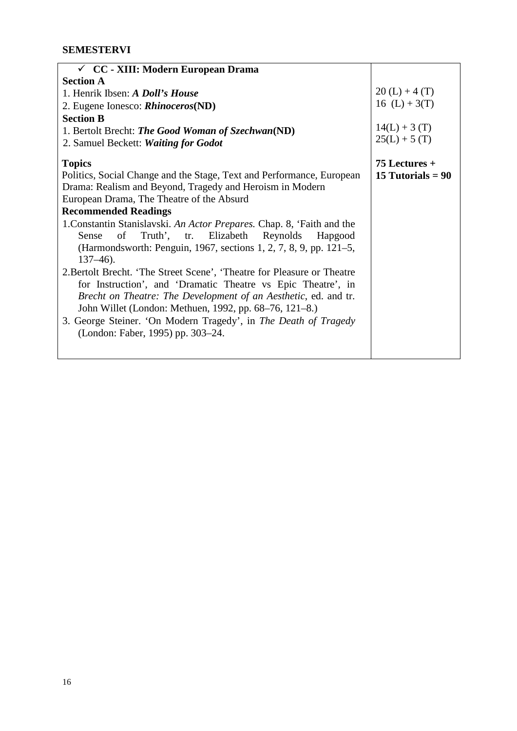| $\checkmark$ CC - XIII: Modern European Drama                           |                     |
|-------------------------------------------------------------------------|---------------------|
| <b>Section A</b>                                                        |                     |
| 1. Henrik Ibsen: A Doll's House                                         | $20(L) + 4(T)$      |
| 2. Eugene Ionesco: <i>Rhinoceros</i> (ND)                               | 16 $(L) + 3(T)$     |
| <b>Section B</b>                                                        |                     |
| 1. Bertolt Brecht: The Good Woman of Szechwan(ND)                       | $14(L) + 3(T)$      |
| 2. Samuel Beckett: Waiting for Godot                                    | $25(L) + 5(T)$      |
| <b>Topics</b>                                                           | $75$ Lectures +     |
| Politics, Social Change and the Stage, Text and Performance, European   | 15 Tutorials = $90$ |
| Drama: Realism and Beyond, Tragedy and Heroism in Modern                |                     |
| European Drama, The Theatre of the Absurd                               |                     |
| <b>Recommended Readings</b>                                             |                     |
| 1. Constantin Stanislavski. An Actor Prepares. Chap. 8, 'Faith and the  |                     |
| of Truth', tr. Elizabeth Reynolds Hapgood<br>Sense                      |                     |
| (Harmondsworth: Penguin, 1967, sections 1, 2, 7, 8, 9, pp. 121–5,       |                     |
| $137 - 46$ ).                                                           |                     |
| 2. Bertolt Brecht. 'The Street Scene', 'Theatre for Pleasure or Theatre |                     |
| for Instruction', and 'Dramatic Theatre vs Epic Theatre', in            |                     |
| Brecht on Theatre: The Development of an Aesthetic, ed. and tr.         |                     |
| John Willet (London: Methuen, 1992, pp. 68–76, 121–8.)                  |                     |
| 3. George Steiner. 'On Modern Tragedy', in The Death of Tragedy         |                     |
| (London: Faber, 1995) pp. 303–24.                                       |                     |
|                                                                         |                     |
|                                                                         |                     |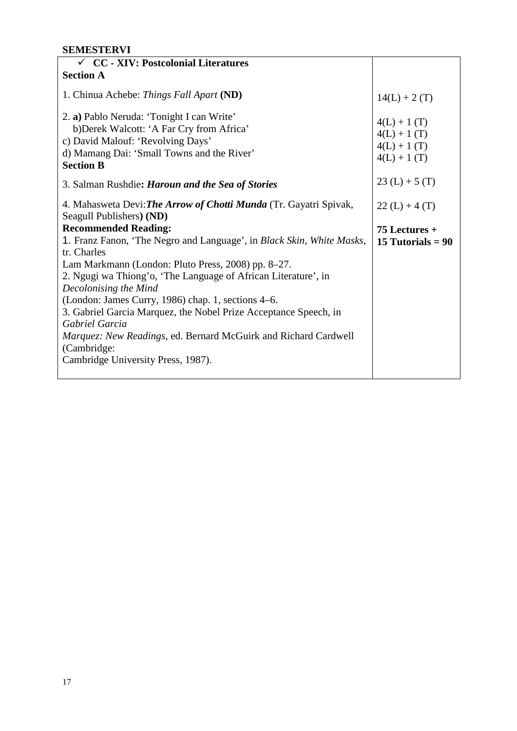### **SEMESTERVI**

| $\checkmark$ CC - XIV: Postcolonial Literatures                                                                                                                                               |                                                                  |
|-----------------------------------------------------------------------------------------------------------------------------------------------------------------------------------------------|------------------------------------------------------------------|
|                                                                                                                                                                                               |                                                                  |
| <b>Section A</b>                                                                                                                                                                              |                                                                  |
| 1. Chinua Achebe: Things Fall Apart (ND)                                                                                                                                                      | $14(L) + 2(T)$                                                   |
| 2. a) Pablo Neruda: 'Tonight I can Write'<br>b) Derek Walcott: 'A Far Cry from Africa'<br>c) David Malouf: 'Revolving Days'<br>d) Mamang Dai: 'Small Towns and the River'<br><b>Section B</b> | $4(L) + 1(T)$<br>$4(L) + 1(T)$<br>$4(L) + 1(T)$<br>$4(L) + 1(T)$ |
| 3. Salman Rushdie: <i>Haroun and the Sea of Stories</i>                                                                                                                                       | $23(L) + 5(T)$                                                   |
| 4. Mahasweta Devi: The Arrow of Chotti Munda (Tr. Gayatri Spivak,<br>Seagull Publishers) (ND)                                                                                                 | $22(L) + 4(T)$                                                   |
| <b>Recommended Reading:</b>                                                                                                                                                                   | $75$ Lectures +                                                  |
| 1. Franz Fanon, 'The Negro and Language', in Black Skin, White Masks,<br>tr. Charles                                                                                                          | 15 Tutorials = $90$                                              |
| Lam Markmann (London: Pluto Press, 2008) pp. 8–27.                                                                                                                                            |                                                                  |
| 2. Ngugi wa Thiong'o, 'The Language of African Literature', in<br>Decolonising the Mind                                                                                                       |                                                                  |
| (London: James Curry, 1986) chap. 1, sections 4–6.                                                                                                                                            |                                                                  |
| 3. Gabriel Garcia Marquez, the Nobel Prize Acceptance Speech, in                                                                                                                              |                                                                  |
| Gabriel Garcia                                                                                                                                                                                |                                                                  |
| Marquez: New Readings, ed. Bernard McGuirk and Richard Cardwell                                                                                                                               |                                                                  |
| (Cambridge:                                                                                                                                                                                   |                                                                  |
| Cambridge University Press, 1987).                                                                                                                                                            |                                                                  |
|                                                                                                                                                                                               |                                                                  |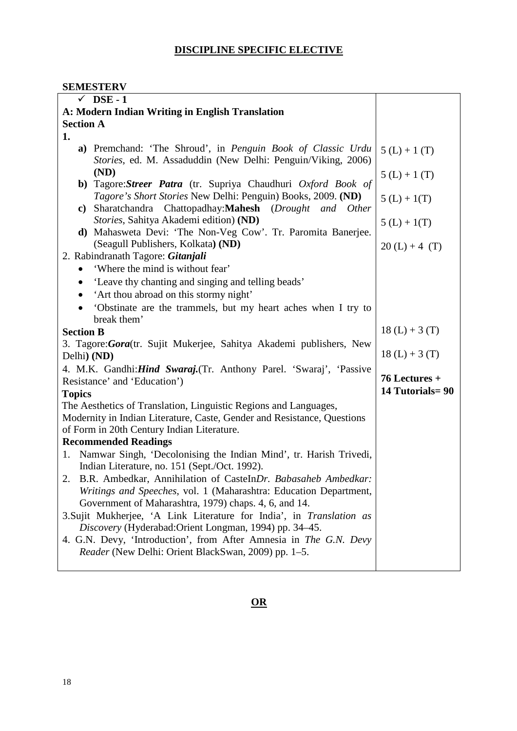### **DISCIPLINE SPECIFIC ELECTIVE**

### **SEMESTERV**

| $\checkmark$ DSE - 1                                                                                                        |                 |
|-----------------------------------------------------------------------------------------------------------------------------|-----------------|
| A: Modern Indian Writing in English Translation                                                                             |                 |
| <b>Section A</b>                                                                                                            |                 |
| 1.                                                                                                                          |                 |
| a) Premchand: 'The Shroud', in Penguin Book of Classic Urdu<br>Stories, ed. M. Assaduddin (New Delhi: Penguin/Viking, 2006) | $5(L) + 1(T)$   |
| (ND)<br>b) Tagore: Streer Patra (tr. Supriya Chaudhuri Oxford Book of                                                       | $5(L) + 1(T)$   |
| Tagore's Short Stories New Delhi: Penguin) Books, 2009. (ND)<br>c) Sharatchandra Chattopadhay: Mahesh (Drought and Other    | $5(L) + 1(T)$   |
| Stories, Sahitya Akademi edition) (ND)<br>d) Mahasweta Devi: 'The Non-Veg Cow'. Tr. Paromita Banerjee.                      | $5(L) + 1(T)$   |
| (Seagull Publishers, Kolkata) (ND)<br>2. Rabindranath Tagore: Gitanjali                                                     | $20(L) + 4(T)$  |
| 'Where the mind is without fear'                                                                                            |                 |
| 'Leave thy chanting and singing and telling beads'                                                                          |                 |
| 'Art thou abroad on this stormy night'                                                                                      |                 |
| 'Obstinate are the trammels, but my heart aches when I try to                                                               |                 |
| break them'                                                                                                                 |                 |
| <b>Section B</b>                                                                                                            | $18(L) + 3(T)$  |
| 3. Tagore: Gora (tr. Sujit Mukerjee, Sahitya Akademi publishers, New                                                        |                 |
| Delhi) (ND)                                                                                                                 | $18(L) + 3(T)$  |
| 4. M.K. Gandhi: Hind Swaraj. (Tr. Anthony Parel. 'Swaraj', 'Passive                                                         |                 |
| Resistance' and 'Education')                                                                                                | 76 Lectures +   |
| <b>Topics</b>                                                                                                               | 14 Tutorials=90 |
| The Aesthetics of Translation, Linguistic Regions and Languages,                                                            |                 |
| Modernity in Indian Literature, Caste, Gender and Resistance, Questions                                                     |                 |
| of Form in 20th Century Indian Literature.                                                                                  |                 |
| <b>Recommended Readings</b>                                                                                                 |                 |
| Namwar Singh, 'Decolonising the Indian Mind', tr. Harish Trivedi,<br>1.                                                     |                 |
| Indian Literature, no. 151 (Sept./Oct. 1992).                                                                               |                 |
| 2. B.R. Ambedkar, Annihilation of CasteInDr. Babasaheb Ambedkar:                                                            |                 |
| Writings and Speeches, vol. 1 (Maharashtra: Education Department,                                                           |                 |
| Government of Maharashtra, 1979) chaps. 4, 6, and 14.                                                                       |                 |
| 3. Sujit Mukherjee, 'A Link Literature for India', in Translation as                                                        |                 |
| Discovery (Hyderabad:Orient Longman, 1994) pp. 34–45.                                                                       |                 |
| 4. G.N. Devy, 'Introduction', from After Amnesia in The G.N. Devy                                                           |                 |
| Reader (New Delhi: Orient BlackSwan, 2009) pp. 1–5.                                                                         |                 |
|                                                                                                                             |                 |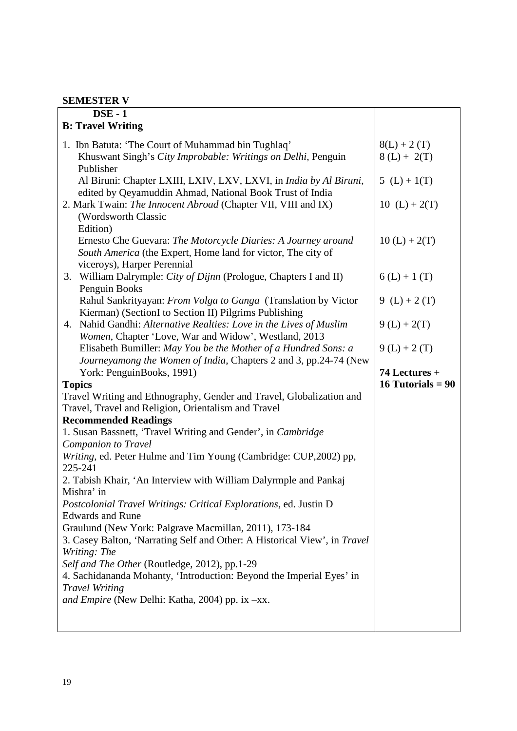## **SEMESTER V**

| <b>DSE-1</b>                                                                    |                     |
|---------------------------------------------------------------------------------|---------------------|
| <b>B: Travel Writing</b>                                                        |                     |
| 1. Ibn Batuta: 'The Court of Muhammad bin Tughlaq'                              | $8(L) + 2(T)$       |
| Khuswant Singh's City Improbable: Writings on Delhi, Penguin                    | $8(L) + 2(T)$       |
| Publisher                                                                       |                     |
| Al Biruni: Chapter LXIII, LXIV, LXV, LXVI, in India by Al Biruni,               | 5 $(L) + 1(T)$      |
| edited by Qeyamuddin Ahmad, National Book Trust of India                        |                     |
| 2. Mark Twain: The Innocent Abroad (Chapter VII, VIII and IX)                   | $10(L) + 2(T)$      |
| (Wordsworth Classic                                                             |                     |
| Edition)                                                                        |                     |
| Ernesto Che Guevara: The Motorcycle Diaries: A Journey around                   | $10(L) + 2(T)$      |
| South America (the Expert, Home land for victor, The city of                    |                     |
| viceroys), Harper Perennial                                                     |                     |
| William Dalrymple: City of Dijnn (Prologue, Chapters I and II)<br>3.            | $6(L) + 1(T)$       |
| Penguin Books<br>Rahul Sankrityayan: From Volga to Ganga (Translation by Victor | 9 (L) + 2 (T)       |
| Kierman) (SectionI to Section II) Pilgrims Publishing                           |                     |
| 4. Nahid Gandhi: Alternative Realties: Love in the Lives of Muslim              | $9(L) + 2(T)$       |
| Women, Chapter 'Love, War and Widow', Westland, 2013                            |                     |
| Elisabeth Bumiller: May You be the Mother of a Hundred Sons: a                  | $9(L) + 2(T)$       |
| Journeyamong the Women of India, Chapters 2 and 3, pp.24-74 (New                |                     |
| York: PenguinBooks, 1991)                                                       | 74 Lectures +       |
| <b>Topics</b>                                                                   | 16 Tutorials = $90$ |
| Travel Writing and Ethnography, Gender and Travel, Globalization and            |                     |
| Travel, Travel and Religion, Orientalism and Travel                             |                     |
| <b>Recommended Readings</b>                                                     |                     |
| 1. Susan Bassnett, 'Travel Writing and Gender', in Cambridge                    |                     |
| <b>Companion to Travel</b>                                                      |                     |
| Writing, ed. Peter Hulme and Tim Young (Cambridge: CUP,2002) pp,                |                     |
| 225-241<br>2. Tabish Khair, 'An Interview with William Dalyrmple and Pankaj     |                     |
| Mishra' in                                                                      |                     |
| Postcolonial Travel Writings: Critical Explorations, ed. Justin D               |                     |
| <b>Edwards and Rune</b>                                                         |                     |
| Graulund (New York: Palgrave Macmillan, 2011), 173-184                          |                     |
| 3. Casey Balton, 'Narrating Self and Other: A Historical View', in Travel       |                     |
| Writing: The                                                                    |                     |
| Self and The Other (Routledge, 2012), pp.1-29                                   |                     |
| 4. Sachidananda Mohanty, 'Introduction: Beyond the Imperial Eyes' in            |                     |
| <b>Travel Writing</b>                                                           |                     |
| and Empire (New Delhi: Katha, 2004) pp. ix -xx.                                 |                     |
|                                                                                 |                     |
|                                                                                 |                     |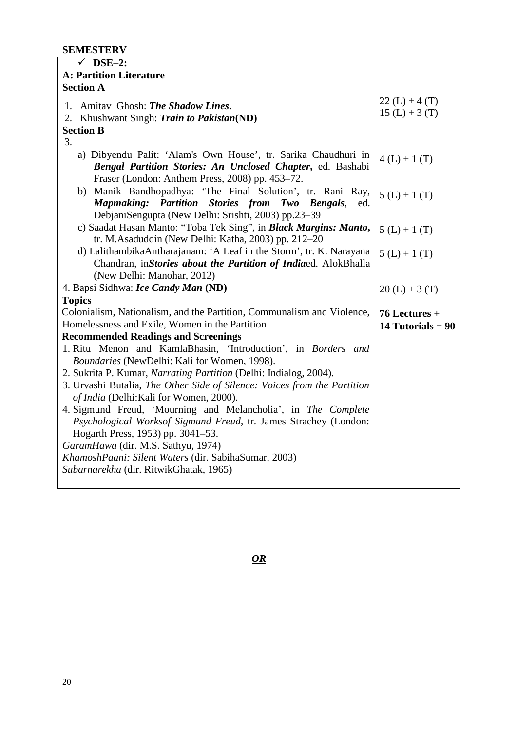#### **SEMESTERV**

| $DSE-2:$<br>✓                                                                                                                                                                   |                                  |
|---------------------------------------------------------------------------------------------------------------------------------------------------------------------------------|----------------------------------|
| <b>A: Partition Literature</b>                                                                                                                                                  |                                  |
| <b>Section A</b>                                                                                                                                                                |                                  |
| 1. Amitav Ghosh: The Shadow Lines.<br>2. Khushwant Singh: Train to Pakistan(ND)                                                                                                 | $22(L) + 4(T)$<br>$15(L) + 3(T)$ |
| <b>Section B</b>                                                                                                                                                                |                                  |
| 3.                                                                                                                                                                              |                                  |
| a) Dibyendu Palit: 'Alam's Own House', tr. Sarika Chaudhuri in<br>Bengal Partition Stories: An Unclosed Chapter, ed. Bashabi<br>Fraser (London: Anthem Press, 2008) pp. 453–72. | $4(L) + 1(T)$                    |
| b) Manik Bandhopadhya: 'The Final Solution', tr. Rani Ray,<br><b>Mapmaking: Partition Stories from Two</b><br><b>Bengals</b> , ed.                                              | $5(L) + 1(T)$                    |
| DebjaniSengupta (New Delhi: Srishti, 2003) pp.23-39<br>c) Saadat Hasan Manto: "Toba Tek Sing", in Black Margins: Manto,<br>tr. M.Asaduddin (New Delhi: Katha, 2003) pp. 212–20  | $5(L) + 1(T)$                    |
| d) LalithambikaAntharajanam: 'A Leaf in the Storm', tr. K. Narayana<br>Chandran, inStories about the Partition of Indiaed. AlokBhalla<br>(New Delhi: Manohar, 2012)             | $5(L) + 1(T)$                    |
| 4. Bapsi Sidhwa: Ice Candy Man (ND)                                                                                                                                             | $20(L) + 3(T)$                   |
| <b>Topics</b>                                                                                                                                                                   |                                  |
| Colonialism, Nationalism, and the Partition, Communalism and Violence,                                                                                                          | $76$ Lectures +                  |
| Homelessness and Exile, Women in the Partition                                                                                                                                  | 14 Tutorials = $90$              |
| <b>Recommended Readings and Screenings</b>                                                                                                                                      |                                  |
| 1. Ritu Menon and KamlaBhasin, 'Introduction', in Borders and<br>Boundaries (NewDelhi: Kali for Women, 1998).                                                                   |                                  |
| 2. Sukrita P. Kumar, Narrating Partition (Delhi: Indialog, 2004).                                                                                                               |                                  |
| 3. Urvashi Butalia, The Other Side of Silence: Voices from the Partition<br>of India (Delhi: Kali for Women, 2000).                                                             |                                  |
| 4. Sigmund Freud, 'Mourning and Melancholia', in The Complete<br>Psychological Worksof Sigmund Freud, tr. James Strachey (London:<br>Hogarth Press, 1953) pp. 3041–53.          |                                  |
| GaramHawa (dir. M.S. Sathyu, 1974)                                                                                                                                              |                                  |
| KhamoshPaani: Silent Waters (dir. SabihaSumar, 2003)                                                                                                                            |                                  |
| Subarnarekha (dir. RitwikGhatak, 1965)                                                                                                                                          |                                  |

*OR*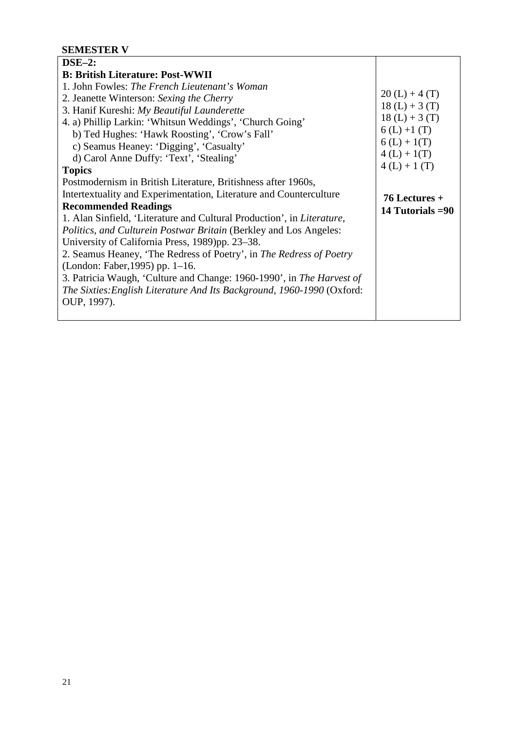## **SEMESTER V**

| $DSE-2:$                                                                       |                   |
|--------------------------------------------------------------------------------|-------------------|
| <b>B: British Literature: Post-WWII</b>                                        |                   |
| 1. John Fowles: The French Lieutenant's Woman                                  |                   |
| 2. Jeanette Winterson: Sexing the Cherry                                       | $20(L) + 4(T)$    |
| 3. Hanif Kureshi: My Beautiful Launderette                                     | $18(L) + 3(T)$    |
| 4. a) Phillip Larkin: 'Whitsun Weddings', 'Church Going'                       | $18(L) + 3(T)$    |
| b) Ted Hughes: 'Hawk Roosting', 'Crow's Fall'                                  | $6(L) + 1(T)$     |
| c) Seamus Heaney: 'Digging', 'Casualty'                                        | $6(L) + 1(T)$     |
| d) Carol Anne Duffy: 'Text', 'Stealing'                                        | $4(L) + 1(T)$     |
| <b>Topics</b>                                                                  | $4(L) + 1(T)$     |
| Postmodernism in British Literature, Britishness after 1960s,                  |                   |
| Intertextuality and Experimentation, Literature and Counterculture             | $76$ Lectures +   |
| <b>Recommended Readings</b>                                                    | 14 Tutorials = 90 |
| 1. Alan Sinfield, 'Literature and Cultural Production', in <i>Literature</i> , |                   |
| <i>Politics, and Culturein Postwar Britain (Berkley and Los Angeles:</i>       |                   |
| University of California Press, 1989)pp. 23–38.                                |                   |
| 2. Seamus Heaney, 'The Redress of Poetry', in The Redress of Poetry            |                   |
| (London: Faber, 1995) pp. 1–16.                                                |                   |
| 3. Patricia Waugh, 'Culture and Change: 1960-1990', in The Harvest of          |                   |
| The Sixties: English Literature And Its Background, 1960-1990 (Oxford:         |                   |
| OUP, 1997).                                                                    |                   |
|                                                                                |                   |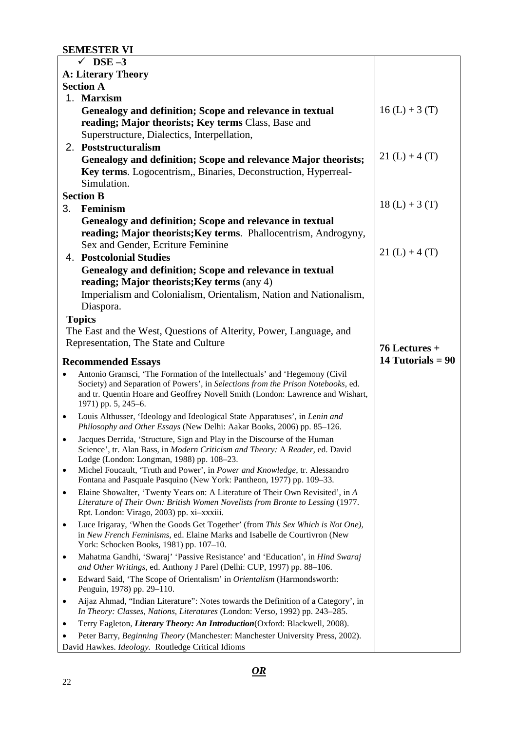## **SEMESTER VI**

|                           | $\sqrt{\phantom{0}DSE-3}$                                                                                                                                                                                                                                               |                     |
|---------------------------|-------------------------------------------------------------------------------------------------------------------------------------------------------------------------------------------------------------------------------------------------------------------------|---------------------|
| <b>A: Literary Theory</b> |                                                                                                                                                                                                                                                                         |                     |
|                           | <b>Section A</b>                                                                                                                                                                                                                                                        |                     |
|                           | 1. Marxism                                                                                                                                                                                                                                                              |                     |
|                           | Genealogy and definition; Scope and relevance in textual<br>reading; Major theorists; Key terms Class, Base and<br>Superstructure, Dialectics, Interpellation,                                                                                                          | $16(L) + 3(T)$      |
|                           | 2. Poststructuralism                                                                                                                                                                                                                                                    |                     |
|                           | Genealogy and definition; Scope and relevance Major theorists;<br>Key terms. Logocentrism,, Binaries, Deconstruction, Hyperreal-<br>Simulation.                                                                                                                         | $21(L) + 4(T)$      |
|                           | <b>Section B</b>                                                                                                                                                                                                                                                        |                     |
| 3.                        | Feminism                                                                                                                                                                                                                                                                | $18(L) + 3(T)$      |
|                           | Genealogy and definition; Scope and relevance in textual                                                                                                                                                                                                                |                     |
|                           | reading; Major theorists; Key terms. Phallocentrism, Androgyny,                                                                                                                                                                                                         |                     |
|                           | Sex and Gender, Ecriture Feminine                                                                                                                                                                                                                                       |                     |
|                           | <b>4. Postcolonial Studies</b>                                                                                                                                                                                                                                          | $21(L) + 4(T)$      |
|                           | Genealogy and definition; Scope and relevance in textual                                                                                                                                                                                                                |                     |
|                           | reading; Major theorists; Key terms (any 4)                                                                                                                                                                                                                             |                     |
|                           | Imperialism and Colonialism, Orientalism, Nation and Nationalism,                                                                                                                                                                                                       |                     |
|                           | Diaspora.                                                                                                                                                                                                                                                               |                     |
|                           | <b>Topics</b>                                                                                                                                                                                                                                                           |                     |
|                           | The East and the West, Questions of Alterity, Power, Language, and                                                                                                                                                                                                      |                     |
|                           | Representation, The State and Culture                                                                                                                                                                                                                                   | 76 Lectures +       |
|                           |                                                                                                                                                                                                                                                                         | 14 Tutorials = $90$ |
|                           | <b>Recommended Essays</b>                                                                                                                                                                                                                                               |                     |
|                           | Antonio Gramsci, 'The Formation of the Intellectuals' and 'Hegemony (Civil<br>Society) and Separation of Powers', in Selections from the Prison Notebooks, ed.<br>and tr. Quentin Hoare and Geoffrey Novell Smith (London: Lawrence and Wishart,<br>1971) pp. 5, 245–6. |                     |
| $\bullet$                 | Louis Althusser, 'Ideology and Ideological State Apparatuses', in Lenin and<br>Philosophy and Other Essays (New Delhi: Aakar Books, 2006) pp. 85-126.                                                                                                                   |                     |
| ٠                         | Jacques Derrida, 'Structure, Sign and Play in the Discourse of the Human<br>Science', tr. Alan Bass, in Modern Criticism and Theory: A Reader, ed. David<br>Lodge (London: Longman, 1988) pp. 108-23.                                                                   |                     |
| $\bullet$                 | Michel Foucault, 'Truth and Power', in Power and Knowledge, tr. Alessandro<br>Fontana and Pasquale Pasquino (New York: Pantheon, 1977) pp. 109-33.                                                                                                                      |                     |
| $\bullet$                 | Elaine Showalter, 'Twenty Years on: A Literature of Their Own Revisited', in A<br>Literature of Their Own: British Women Novelists from Bronte to Lessing (1977.<br>Rpt. London: Virago, 2003) pp. xi-xxxiii.                                                           |                     |
| $\bullet$                 | Luce Irigaray, 'When the Goods Get Together' (from This Sex Which is Not One),<br>in New French Feminisms, ed. Elaine Marks and Isabelle de Courtivron (New<br>York: Schocken Books, 1981) pp. 107-10.                                                                  |                     |
| ٠                         | Mahatma Gandhi, 'Swaraj' 'Passive Resistance' and 'Education', in Hind Swaraj<br>and Other Writings, ed. Anthony J Parel (Delhi: CUP, 1997) pp. 88-106.                                                                                                                 |                     |
| ٠                         | Edward Said, 'The Scope of Orientalism' in Orientalism (Harmondsworth:<br>Penguin, 1978) pp. 29-110.                                                                                                                                                                    |                     |
| ٠                         | Aijaz Ahmad, "Indian Literature": Notes towards the Definition of a Category', in                                                                                                                                                                                       |                     |
|                           | In Theory: Classes, Nations, Literatures (London: Verso, 1992) pp. 243-285.                                                                                                                                                                                             |                     |
|                           | Terry Eagleton, Literary Theory: An Introduction(Oxford: Blackwell, 2008).                                                                                                                                                                                              |                     |
|                           | Peter Barry, Beginning Theory (Manchester: Manchester University Press, 2002).                                                                                                                                                                                          |                     |
|                           | David Hawkes. Ideology. Routledge Critical Idioms                                                                                                                                                                                                                       |                     |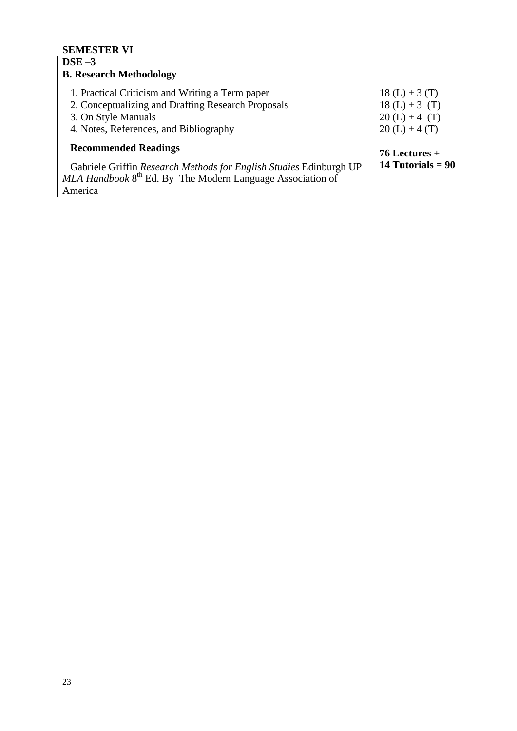## **SEMESTER VI**

| $DSE-3$                                                                                                                                                                |                                                                      |
|------------------------------------------------------------------------------------------------------------------------------------------------------------------------|----------------------------------------------------------------------|
| <b>B. Research Methodology</b>                                                                                                                                         |                                                                      |
| 1. Practical Criticism and Writing a Term paper<br>2. Conceptualizing and Drafting Research Proposals<br>3. On Style Manuals<br>4. Notes, References, and Bibliography | $18(L) + 3(T)$<br>$18(L) + 3(T)$<br>$20(L) + 4(T)$<br>$20(L) + 4(T)$ |
| <b>Recommended Readings</b>                                                                                                                                            | $76$ Lectures +                                                      |
| Gabriele Griffin Research Methods for English Studies Edinburgh UP<br>$MLA$ Handbook $8th$ Ed. By The Modern Language Association of<br>America                        | 14 Tutorials $= 90$                                                  |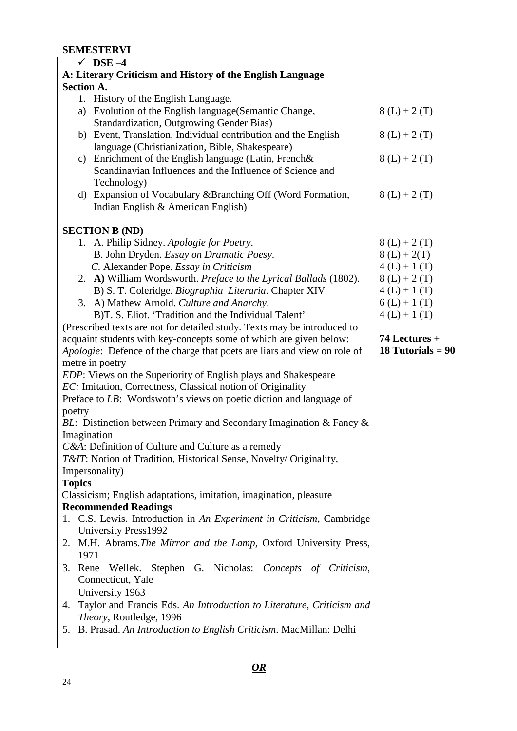## **SEMESTERVI**

| $\sqrt{}$ DSE -4                                                           |                     |  |
|----------------------------------------------------------------------------|---------------------|--|
| A: Literary Criticism and History of the English Language                  |                     |  |
| <b>Section A.</b>                                                          |                     |  |
| 1. History of the English Language.                                        |                     |  |
| a) Evolution of the English language (Semantic Change,                     | $8(L) + 2(T)$       |  |
| <b>Standardization, Outgrowing Gender Bias)</b>                            |                     |  |
| b) Event, Translation, Individual contribution and the English             | $8(L) + 2(T)$       |  |
| language (Christianization, Bible, Shakespeare)                            |                     |  |
| c) Enrichment of the English language (Latin, French&                      | $8(L) + 2(T)$       |  |
| Scandinavian Influences and the Influence of Science and                   |                     |  |
|                                                                            |                     |  |
| Technology)                                                                |                     |  |
| Expansion of Vocabulary & Branching Off (Word Formation,<br>d)             | $8(L) + 2(T)$       |  |
| Indian English & American English)                                         |                     |  |
|                                                                            |                     |  |
| <b>SECTION B (ND)</b>                                                      |                     |  |
| 1. A. Philip Sidney. Apologie for Poetry.                                  | $8(L) + 2(T)$       |  |
| B. John Dryden. Essay on Dramatic Poesy.                                   | $8(L) + 2(T)$       |  |
| C. Alexander Pope. Essay in Criticism                                      | $4(L) + 1(T)$       |  |
| 2. A) William Wordsworth. Preface to the Lyrical Ballads (1802).           | $8(L) + 2(T)$       |  |
| B) S. T. Coleridge. Biographia Literaria. Chapter XIV                      | $4(L) + 1(T)$       |  |
| 3. A) Mathew Arnold. Culture and Anarchy.                                  | $6(L) + 1(T)$       |  |
| B)T. S. Eliot. 'Tradition and the Individual Talent'                       | $4(L) + 1(T)$       |  |
| (Prescribed texts are not for detailed study. Texts may be introduced to   |                     |  |
| acquaint students with key-concepts some of which are given below:         | 74 Lectures +       |  |
| Apologie: Defence of the charge that poets are liars and view on role of   | 18 Tutorials = $90$ |  |
| metre in poetry                                                            |                     |  |
| <i>EDP</i> : Views on the Superiority of English plays and Shakespeare     |                     |  |
| EC: Imitation, Correctness, Classical notion of Originality                |                     |  |
| Preface to LB: Wordswoth's views on poetic diction and language of         |                     |  |
| poetry                                                                     |                     |  |
| BL: Distinction between Primary and Secondary Imagination & Fancy &        |                     |  |
| Imagination                                                                |                     |  |
| C&A: Definition of Culture and Culture as a remedy                         |                     |  |
| T&IT: Notion of Tradition, Historical Sense, Novelty/ Originality,         |                     |  |
| Impersonality)                                                             |                     |  |
| <b>Topics</b>                                                              |                     |  |
| Classicism; English adaptations, imitation, imagination, pleasure          |                     |  |
| <b>Recommended Readings</b>                                                |                     |  |
| 1. C.S. Lewis. Introduction in An Experiment in Criticism, Cambridge       |                     |  |
| University Press1992                                                       |                     |  |
| 2. M.H. Abrams. The Mirror and the Lamp, Oxford University Press,          |                     |  |
| 1971                                                                       |                     |  |
|                                                                            |                     |  |
| Stephen G. Nicholas: Concepts of Criticism,<br>3. Rene Wellek.             |                     |  |
| Connecticut, Yale                                                          |                     |  |
| University 1963                                                            |                     |  |
| Taylor and Francis Eds. An Introduction to Literature, Criticism and<br>4. |                     |  |
| Theory, Routledge, 1996                                                    |                     |  |
| 5. B. Prasad. An Introduction to English Criticism. MacMillan: Delhi       |                     |  |
|                                                                            |                     |  |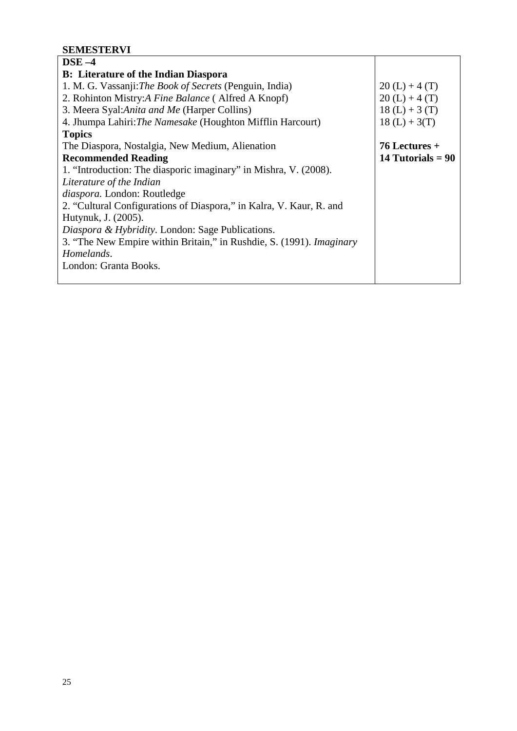## **SEMESTERVI**

| $\bf{DSE}-4$                                                                |                     |
|-----------------------------------------------------------------------------|---------------------|
| <b>B:</b> Literature of the Indian Diaspora                                 |                     |
| 1. M. G. Vassanji: The Book of Secrets (Penguin, India)                     | $20(L) + 4(T)$      |
| 2. Rohinton Mistry: A Fine Balance (Alfred A Knopf)                         | $20(L) + 4(T)$      |
| 3. Meera Syal: Anita and Me (Harper Collins)                                | $18(L) + 3(T)$      |
| 4. Jhumpa Lahiri: The Namesake (Houghton Mifflin Harcourt)                  | $18(L) + 3(T)$      |
| <b>Topics</b>                                                               |                     |
| The Diaspora, Nostalgia, New Medium, Alienation                             | $76$ Lectures +     |
| <b>Recommended Reading</b>                                                  | 14 Tutorials $= 90$ |
| 1. "Introduction: The diasporic imaginary" in Mishra, V. (2008).            |                     |
| Literature of the Indian                                                    |                     |
| diaspora. London: Routledge                                                 |                     |
| 2. "Cultural Configurations of Diaspora," in Kalra, V. Kaur, R. and         |                     |
| Hutynuk, J. (2005).                                                         |                     |
| Diaspora & Hybridity. London: Sage Publications.                            |                     |
| 3. "The New Empire within Britain," in Rushdie, S. (1991). <i>Imaginary</i> |                     |
| Homelands.                                                                  |                     |
| London: Granta Books.                                                       |                     |
|                                                                             |                     |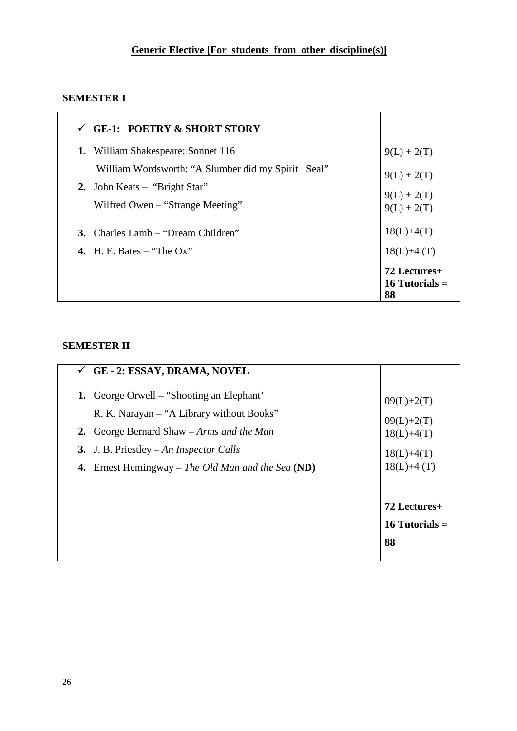# **SEMESTER I**

| <b>GE-1: POETRY &amp; SHORT STORY</b>              |                                        |
|----------------------------------------------------|----------------------------------------|
| William Shakespeare: Sonnet 116<br>1.              | $9(L) + 2(T)$                          |
| William Wordsworth: "A Slumber did my Spirit Seal" | $9(L) + 2(T)$                          |
| 2. John Keats – "Bright Star"                      | $9(L) + 2(T)$                          |
| Wilfred Owen – "Strange Meeting"                   | $9(L) + 2(T)$                          |
| 3. Charles Lamb – "Dream Children"                 | $18(L)+4(T)$                           |
| 4. H. E. Bates – "The $Ox$ "                       | $18(L)+4(T)$                           |
|                                                    | 72 Lectures+<br>16 Tutorials $=$<br>88 |

## **SEMESTER II**

| <b>GE - 2: ESSAY, DRAMA, NOVEL</b>                                                                                                                                                                                                            |                                                                              |
|-----------------------------------------------------------------------------------------------------------------------------------------------------------------------------------------------------------------------------------------------|------------------------------------------------------------------------------|
| <b>1.</b> George Orwell – "Shooting an Elephant"<br>R. K. Narayan - "A Library without Books"<br>2. George Bernard Shaw – Arms and the Man<br>3. J. B. Priestley – An Inspector Calls<br>4. Ernest Hemingway – The Old Man and the Sea $(ND)$ | $09(L)+2(T)$<br>$09(L)+2(T)$<br>$18(L)+4(T)$<br>$18(L)+4(T)$<br>$18(L)+4(T)$ |
|                                                                                                                                                                                                                                               | 72 Lectures+                                                                 |
|                                                                                                                                                                                                                                               | 16 Tutorials $=$                                                             |
|                                                                                                                                                                                                                                               | 88                                                                           |
|                                                                                                                                                                                                                                               |                                                                              |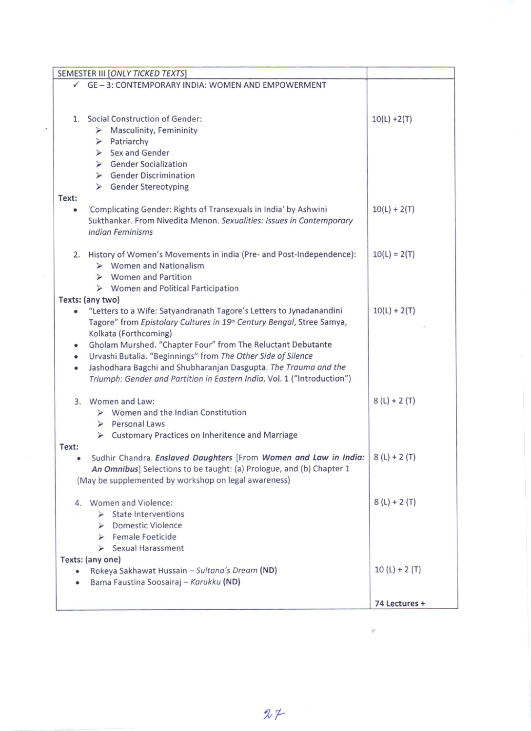| SEMESTER III [ONLY TICKED TEXTS]                                        |                |
|-------------------------------------------------------------------------|----------------|
| $\checkmark$ GE - 3: CONTEMPORARY INDIA: WOMEN AND EMPOWERMENT          |                |
|                                                                         |                |
|                                                                         |                |
| <b>Social Construction of Gender:</b><br>1.                             | $10(L) + 2(T)$ |
| $\triangleright$ Masculinity, Femininity                                |                |
| $\triangleright$ Patriarchy                                             |                |
| $\triangleright$ Sex and Gender                                         |                |
| ▶ Gender Socialization                                                  |                |
| > Gender Discrimination                                                 |                |
| ▶ Gender Stereotyping                                                   |                |
| Text:                                                                   |                |
| 'Complicating Gender: Rights of Transexuals in India' by Ashwini<br>۰   | $10(L) + 2(T)$ |
| Sukthankar. From Nivedita Menon. Sexualities: Issues in Contemporary    |                |
| <b>Indian Feminisms</b>                                                 |                |
|                                                                         |                |
| 2. History of Women's Movements in india (Pre- and Post-Independence):  | $10(L) = 2(T)$ |
| $\triangleright$ Women and Nationalism                                  |                |
| $\triangleright$ Women and Partition                                    |                |
| $\triangleright$ Women and Political Participation                      |                |
| Texts: (any two)                                                        |                |
| "Letters to a Wife: Satyandranath Tagore's Letters to Jynadanandini     | $10(L) + 2(T)$ |
| Tagore" from Epistolary Cultures in 19th Century Bengal, Stree Samya,   |                |
| Kolkata (Forthcoming)                                                   |                |
| Gholam Murshed. "Chapter Four" from The Reluctant Debutante             |                |
| Urvashi Butalia. "Beginnings" from The Other Side of Silence<br>٠       |                |
| Jashodhara Bagchi and Shubharanjan Dasgupta. The Trauma and the<br>٠    |                |
| Triumph: Gender and Partition in Eastern India, Vol. 1 ("Introduction") |                |
|                                                                         |                |
| 3. Women and Law:                                                       | $8(L) + 2(T)$  |
| $\triangleright$ Women and the Indian Constitution                      |                |
| Personal Laws                                                           |                |
| > Customary Practices on Inheritence and Marriage                       |                |
| Text:                                                                   |                |
| Sudhir Chandra. Enslaved Daughters [From Women and Law in India:        | $8(L) + 2(T)$  |
| An Omnibus] Selections to be taught: (a) Prologue, and (b) Chapter 1    |                |
| (May be supplemented by workshop on legal awareness)                    |                |
| 4. Women and Violence:                                                  | $8(L) + 2(T)$  |
| <b>State Interventions</b>                                              |                |
| <b>Domestic Violence</b>                                                |                |
| $\blacktriangleright$                                                   |                |
| $\triangleright$ Female Foeticide                                       |                |
| $\triangleright$ Sexual Harassment                                      |                |
| Texts: (any one)                                                        | $10(L) + 2(T)$ |
| Rokeya Sakhawat Hussain - Sultana's Dream (ND)                          |                |
| Bama Faustina Soosairaj - Karukku (ND)                                  |                |
|                                                                         | 74 Lectures +  |
|                                                                         |                |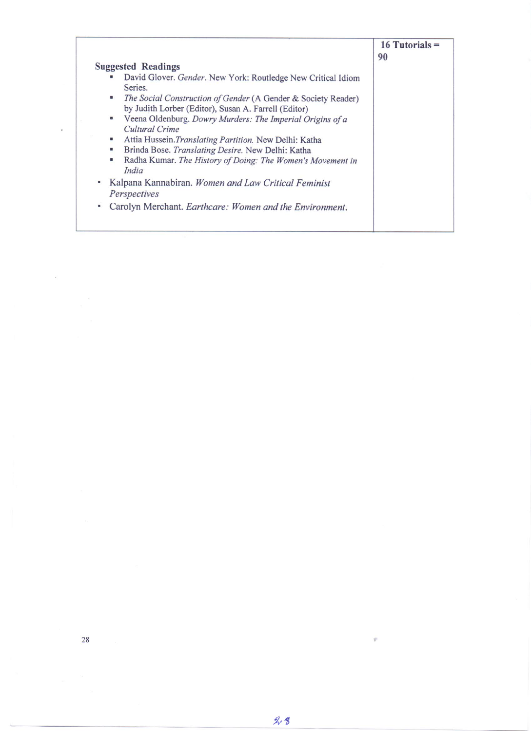|                                                                                                                             | $16$ Tutorials =<br>90 |
|-----------------------------------------------------------------------------------------------------------------------------|------------------------|
| <b>Suggested Readings</b>                                                                                                   |                        |
| David Glover. Gender. New York: Routledge New Critical Idiom<br>٠<br>Series.                                                |                        |
| The Social Construction of Gender (A Gender & Society Reader)<br>a.<br>by Judith Lorber (Editor), Susan A. Farrell (Editor) |                        |
| Veena Oldenburg. Dowry Murders: The Imperial Origins of a<br>٠<br>Cultural Crime                                            |                        |
| Attia Hussein. Translating Partition. New Delhi: Katha<br>۳                                                                 |                        |
| Brinda Bose. Translating Desire. New Delhi: Katha<br>u                                                                      |                        |
| Radha Kumar. The History of Doing: The Women's Movement in<br>۰<br>India                                                    |                        |
| Kalpana Kannabiran. Women and Law Critical Feminist<br>Ξ.<br>Perspectives                                                   |                        |
|                                                                                                                             |                        |
| Carolyn Merchant. Earthcare: Women and the Environment.                                                                     |                        |

ÿ

 $\frac{1}{2}$ 

 $\overline{\nu}$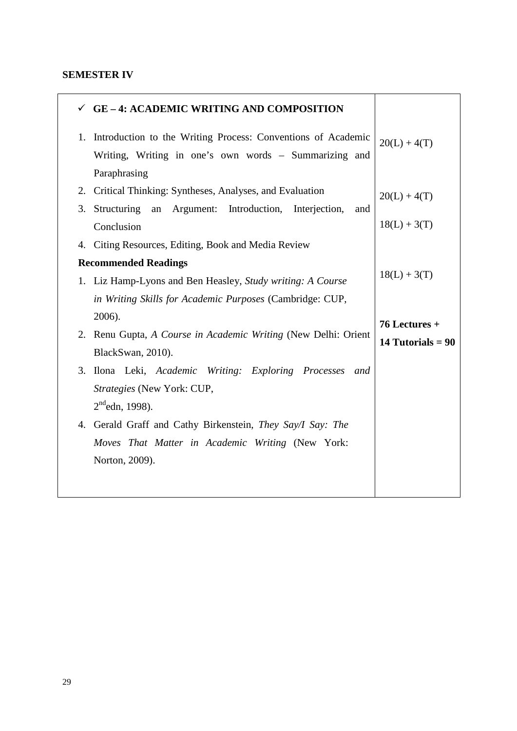### **SEMESTER IV**

| <b>GE - 4: ACADEMIC WRITING AND COMPOSITION</b>                                                                                                         |                                      |
|---------------------------------------------------------------------------------------------------------------------------------------------------------|--------------------------------------|
| Introduction to the Writing Process: Conventions of Academic<br>1.<br>Writing, Writing in one's own words - Summarizing and                             | $20(L) + 4(T)$                       |
| Paraphrasing<br>Critical Thinking: Syntheses, Analyses, and Evaluation<br>2.<br>Structuring<br>Argument: Introduction, Interjection,<br>an<br>3.<br>and | $20(L) + 4(T)$<br>$18(L) + 3(T)$     |
| Conclusion<br>4. Citing Resources, Editing, Book and Media Review                                                                                       |                                      |
| <b>Recommended Readings</b><br>1. Liz Hamp-Lyons and Ben Heasley, Study writing: A Course<br>in Writing Skills for Academic Purposes (Cambridge: CUP,   | $18(L) + 3(T)$                       |
| 2006).<br>2. Renu Gupta, A Course in Academic Writing (New Delhi: Orient<br>BlackSwan, 2010).                                                           | 76 Lectures +<br>14 Tutorials = $90$ |
| 3. Ilona Leki, Academic Writing: Exploring Processes<br>and<br>Strategies (New York: CUP,<br>$2^{nd}$ edn, 1998).                                       |                                      |
| 4. Gerald Graff and Cathy Birkenstein, They Say/I Say: The<br>Moves That Matter in Academic Writing (New York:<br>Norton, 2009).                        |                                      |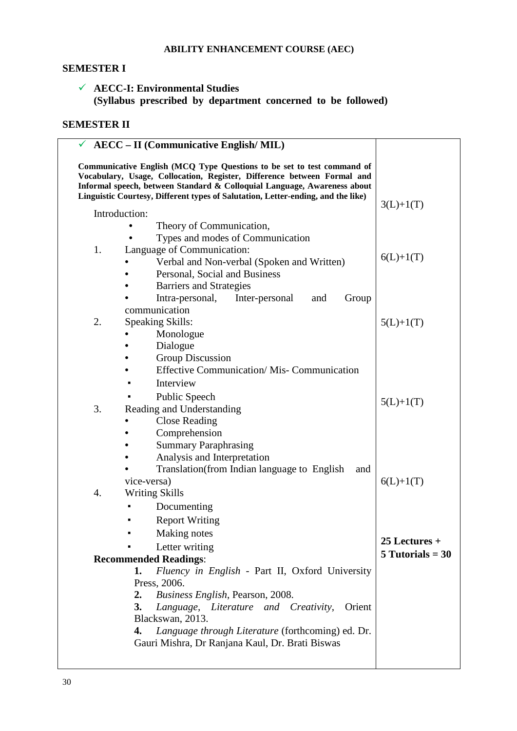### **ABILITY ENHANCEMENT COURSE (AEC)**

#### **SEMESTER I**

## **AECC-I: Environmental Studies (Syllabus prescribed by department concerned to be followed)**

## **SEMESTER II**

|    | <b>AECC</b> – II (Communicative English/MIL)                                                                                                                                                                                                                                                                      |                    |
|----|-------------------------------------------------------------------------------------------------------------------------------------------------------------------------------------------------------------------------------------------------------------------------------------------------------------------|--------------------|
|    | Communicative English (MCQ Type Questions to be set to test command of<br>Vocabulary, Usage, Collocation, Register, Difference between Formal and<br>Informal speech, between Standard & Colloquial Language, Awareness about<br>Linguistic Courtesy, Different types of Salutation, Letter-ending, and the like) |                    |
|    | Introduction:                                                                                                                                                                                                                                                                                                     | $3(L)+1(T)$        |
|    | Theory of Communication,                                                                                                                                                                                                                                                                                          |                    |
|    | Types and modes of Communication                                                                                                                                                                                                                                                                                  |                    |
| 1. | Language of Communication:                                                                                                                                                                                                                                                                                        | $6(L)+1(T)$        |
|    | Verbal and Non-verbal (Spoken and Written)                                                                                                                                                                                                                                                                        |                    |
|    | Personal, Social and Business                                                                                                                                                                                                                                                                                     |                    |
|    | <b>Barriers and Strategies</b>                                                                                                                                                                                                                                                                                    |                    |
|    | Intra-personal,<br>Inter-personal<br>Group<br>and                                                                                                                                                                                                                                                                 |                    |
| 2. | communication                                                                                                                                                                                                                                                                                                     |                    |
|    | <b>Speaking Skills:</b><br>Monologue                                                                                                                                                                                                                                                                              | $5(L)+1(T)$        |
|    | Dialogue                                                                                                                                                                                                                                                                                                          |                    |
|    | <b>Group Discussion</b>                                                                                                                                                                                                                                                                                           |                    |
|    | <b>Effective Communication/ Mis- Communication</b>                                                                                                                                                                                                                                                                |                    |
|    | Interview<br>٠                                                                                                                                                                                                                                                                                                    |                    |
|    | Public Speech                                                                                                                                                                                                                                                                                                     |                    |
| 3. | Reading and Understanding                                                                                                                                                                                                                                                                                         | $5(L)+1(T)$        |
|    | <b>Close Reading</b>                                                                                                                                                                                                                                                                                              |                    |
|    | Comprehension                                                                                                                                                                                                                                                                                                     |                    |
|    | <b>Summary Paraphrasing</b>                                                                                                                                                                                                                                                                                       |                    |
|    | Analysis and Interpretation                                                                                                                                                                                                                                                                                       |                    |
|    | Translation (from Indian language to English<br>and                                                                                                                                                                                                                                                               |                    |
|    | vice-versa)                                                                                                                                                                                                                                                                                                       | $6(L)+1(T)$        |
| 4. | <b>Writing Skills</b>                                                                                                                                                                                                                                                                                             |                    |
|    | Documenting                                                                                                                                                                                                                                                                                                       |                    |
|    | <b>Report Writing</b>                                                                                                                                                                                                                                                                                             |                    |
|    | Making notes                                                                                                                                                                                                                                                                                                      |                    |
|    | Letter writing                                                                                                                                                                                                                                                                                                    | $25$ Lectures +    |
|    | <b>Recommended Readings:</b>                                                                                                                                                                                                                                                                                      | $5$ Tutorials = 30 |
|    | Fluency in English - Part II, Oxford University<br>1.                                                                                                                                                                                                                                                             |                    |
|    | Press, 2006.                                                                                                                                                                                                                                                                                                      |                    |
|    | Business English, Pearson, 2008.<br>2.                                                                                                                                                                                                                                                                            |                    |
|    | 3.<br>Language, Literature and Creativity,<br>Orient                                                                                                                                                                                                                                                              |                    |
|    | Blackswan, 2013.                                                                                                                                                                                                                                                                                                  |                    |
|    | Language through Literature (forthcoming) ed. Dr.<br>4.<br>Gauri Mishra, Dr Ranjana Kaul, Dr. Brati Biswas                                                                                                                                                                                                        |                    |
|    |                                                                                                                                                                                                                                                                                                                   |                    |
|    |                                                                                                                                                                                                                                                                                                                   |                    |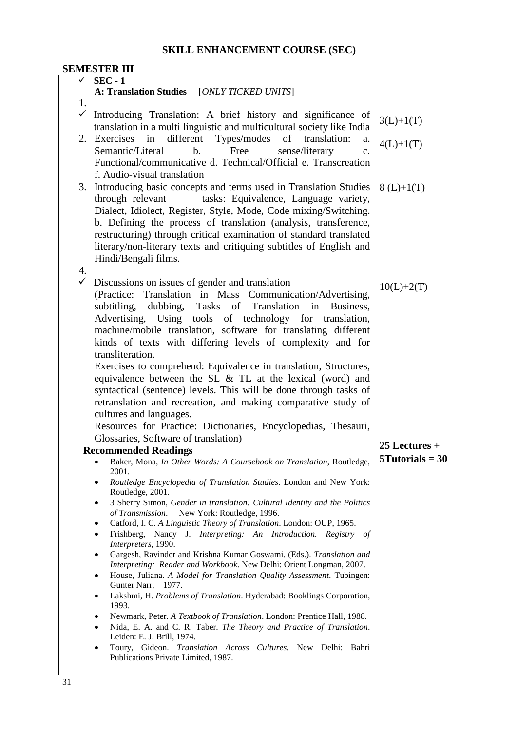# **SKILL ENHANCEMENT COURSE (SEC)**

|              | SEMESTER III                                                                                                                            |                   |
|--------------|-----------------------------------------------------------------------------------------------------------------------------------------|-------------------|
| $\checkmark$ | $SEC - 1$                                                                                                                               |                   |
|              | A: Translation Studies [ONLY TICKED UNITS]                                                                                              |                   |
| 1.           |                                                                                                                                         |                   |
| $\checkmark$ | Introducing Translation: A brief history and significance of                                                                            |                   |
|              |                                                                                                                                         | $3(L)+1(T)$       |
|              | translation in a multi linguistic and multicultural society like India                                                                  |                   |
| 2.           | Exercises<br>in<br>different<br>Types/modes<br>of<br>translation:<br>a.                                                                 | $4(L)+1(T)$       |
|              | Semantic/Literal<br>$\mathbf{b}$ .<br>Free<br>sense/literary<br>c.                                                                      |                   |
|              | Functional/communicative d. Technical/Official e. Transcreation                                                                         |                   |
|              | f. Audio-visual translation                                                                                                             |                   |
|              | 3. Introducing basic concepts and terms used in Translation Studies                                                                     | $8(L)+1(T)$       |
|              | tasks: Equivalence, Language variety,<br>through relevant                                                                               |                   |
|              |                                                                                                                                         |                   |
|              | Dialect, Idiolect, Register, Style, Mode, Code mixing/Switching.                                                                        |                   |
|              | b. Defining the process of translation (analysis, transference,                                                                         |                   |
|              | restructuring) through critical examination of standard translated                                                                      |                   |
|              | literary/non-literary texts and critiquing subtitles of English and                                                                     |                   |
|              | Hindi/Bengali films.                                                                                                                    |                   |
| 4.           |                                                                                                                                         |                   |
| $\checkmark$ | Discussions on issues of gender and translation                                                                                         |                   |
|              | (Practice: Translation in Mass Communication/Advertising,                                                                               | $10(L)+2(T)$      |
|              | subtitling,<br>dubbing, Tasks<br>of Translation<br>Business,<br>in                                                                      |                   |
|              |                                                                                                                                         |                   |
|              | Advertising, Using tools of technology for<br>translation,                                                                              |                   |
|              | machine/mobile translation, software for translating different                                                                          |                   |
|              | kinds of texts with differing levels of complexity and for                                                                              |                   |
|              | transliteration.                                                                                                                        |                   |
|              | Exercises to comprehend: Equivalence in translation, Structures,                                                                        |                   |
|              | equivalence between the SL $&$ TL at the lexical (word) and                                                                             |                   |
|              | syntactical (sentence) levels. This will be done through tasks of                                                                       |                   |
|              | retranslation and recreation, and making comparative study of                                                                           |                   |
|              | cultures and languages.                                                                                                                 |                   |
|              | Resources for Practice: Dictionaries, Encyclopedias, Thesauri,                                                                          |                   |
|              |                                                                                                                                         |                   |
|              | Glossaries, Software of translation)                                                                                                    | $25$ Lectures +   |
|              | <b>Recommended Readings</b>                                                                                                             | $5Tutorials = 30$ |
|              | Baker, Mona, In Other Words: A Coursebook on Translation, Routledge,                                                                    |                   |
|              | 2001.                                                                                                                                   |                   |
|              | Routledge Encyclopedia of Translation Studies. London and New York:<br>٠<br>Routledge, 2001.                                            |                   |
|              | 3 Sherry Simon, Gender in translation: Cultural Identity and the Politics<br>٠                                                          |                   |
|              | of Transmission. New York: Routledge, 1996.                                                                                             |                   |
|              | Catford, I. C. A Linguistic Theory of Translation. London: OUP, 1965.<br>Frishberg, Nancy J. Interpreting: An Introduction. Registry of |                   |
|              | Interpreters, 1990.                                                                                                                     |                   |
|              | Gargesh, Ravinder and Krishna Kumar Goswami. (Eds.). Translation and                                                                    |                   |
|              | Interpreting: Reader and Workbook. New Delhi: Orient Longman, 2007.                                                                     |                   |
|              | House, Juliana. A Model for Translation Quality Assessment. Tubingen:<br>$\bullet$                                                      |                   |
|              | Gunter Narr, 1977.                                                                                                                      |                   |
|              | Lakshmi, H. Problems of Translation. Hyderabad: Booklings Corporation,<br>٠                                                             |                   |
|              | 1993.<br>Newmark, Peter. A Textbook of Translation. London: Prentice Hall, 1988.<br>٠                                                   |                   |
|              | Nida, E. A. and C. R. Taber. The Theory and Practice of Translation.<br>$\bullet$                                                       |                   |
|              | Leiden: E. J. Brill, 1974.                                                                                                              |                   |
|              | Toury, Gideon. Translation Across Cultures. New Delhi: Bahri<br>$\bullet$                                                               |                   |
|              | Publications Private Limited, 1987.                                                                                                     |                   |
|              |                                                                                                                                         |                   |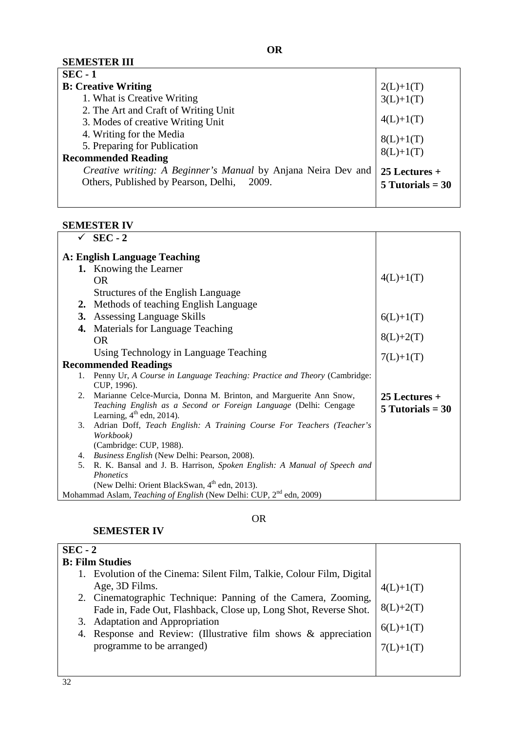| $SEC - 1$                                                                 |                    |
|---------------------------------------------------------------------------|--------------------|
| <b>B: Creative Writing</b>                                                | $2(L)+1(T)$        |
| 1. What is Creative Writing                                               | $3(L)+1(T)$        |
| 2. The Art and Craft of Writing Unit<br>3. Modes of creative Writing Unit | $4(L)+1(T)$        |
| 4. Writing for the Media                                                  | $8(L)+1(T)$        |
| 5. Preparing for Publication                                              | $8(L)+1(T)$        |
| <b>Recommended Reading</b>                                                |                    |
| Creative writing: A Beginner's Manual by Anjana Neira Dev and             | $25$ Lectures +    |
| Others, Published by Pearson, Delhi, 2009.                                | $5$ Tutorials = 30 |
|                                                                           |                    |

## **SEMESTER IV**

|    | $SEC - 2$                                                                                       |                          |
|----|-------------------------------------------------------------------------------------------------|--------------------------|
|    | A: English Language Teaching                                                                    |                          |
|    | 1. Knowing the Learner                                                                          |                          |
|    | <b>OR</b>                                                                                       | $4(L)+1(T)$              |
|    | Structures of the English Language                                                              |                          |
|    | 2. Methods of teaching English Language                                                         |                          |
|    | <b>3.</b> Assessing Language Skills                                                             |                          |
| 4. | Materials for Language Teaching                                                                 | $6(L)+1(T)$              |
|    | OR.                                                                                             | $8(L)+2(T)$<br>7(L)+1(T) |
|    | Using Technology in Language Teaching                                                           |                          |
|    | <b>Recommended Readings</b>                                                                     |                          |
| 1. | Penny Ur, A Course in Language Teaching: Practice and Theory (Cambridge:                        |                          |
|    | CUP, 1996).                                                                                     |                          |
| 2. | Marianne Celce-Murcia, Donna M. Brinton, and Marguerite Ann Snow,                               | $25$ Lectures +          |
|    | Teaching English as a Second or Foreign Language (Delhi: Cengage<br>Learning, $4th$ edn, 2014). | $5$ Tutorials = 30       |
| 3. | Adrian Doff, Teach English: A Training Course For Teachers (Teacher's                           |                          |
|    | Workbook)                                                                                       |                          |
|    | (Cambridge: CUP, 1988).                                                                         |                          |
| 4. | Business English (New Delhi: Pearson, 2008).                                                    |                          |
| 5. | R. K. Bansal and J. B. Harrison, Spoken English: A Manual of Speech and                         |                          |
|    | <i>Phonetics</i>                                                                                |                          |
|    | (New Delhi: Orient BlackSwan, 4 <sup>th</sup> edn, 2013).                                       |                          |
|    | Mohammad Aslam, Teaching of English (New Delhi: CUP, 2 <sup>nd</sup> edn, 2009)                 |                          |

#### **SEMESTER IV**

OR

| $SEC - 2$                                                             |             |
|-----------------------------------------------------------------------|-------------|
| <b>B: Film Studies</b>                                                |             |
| 1. Evolution of the Cinema: Silent Film, Talkie, Colour Film, Digital |             |
| Age, 3D Films.                                                        | $4(L)+1(T)$ |
| 2. Cinematographic Technique: Panning of the Camera, Zooming,         |             |
| Fade in, Fade Out, Flashback, Close up, Long Shot, Reverse Shot.      | $8(L)+2(T)$ |
| 3. Adaptation and Appropriation                                       | $6(L)+1(T)$ |
| 4. Response and Review: (Illustrative film shows & appreciation       |             |
| programme to be arranged)                                             | $/(L)+I(T)$ |
|                                                                       |             |
|                                                                       |             |